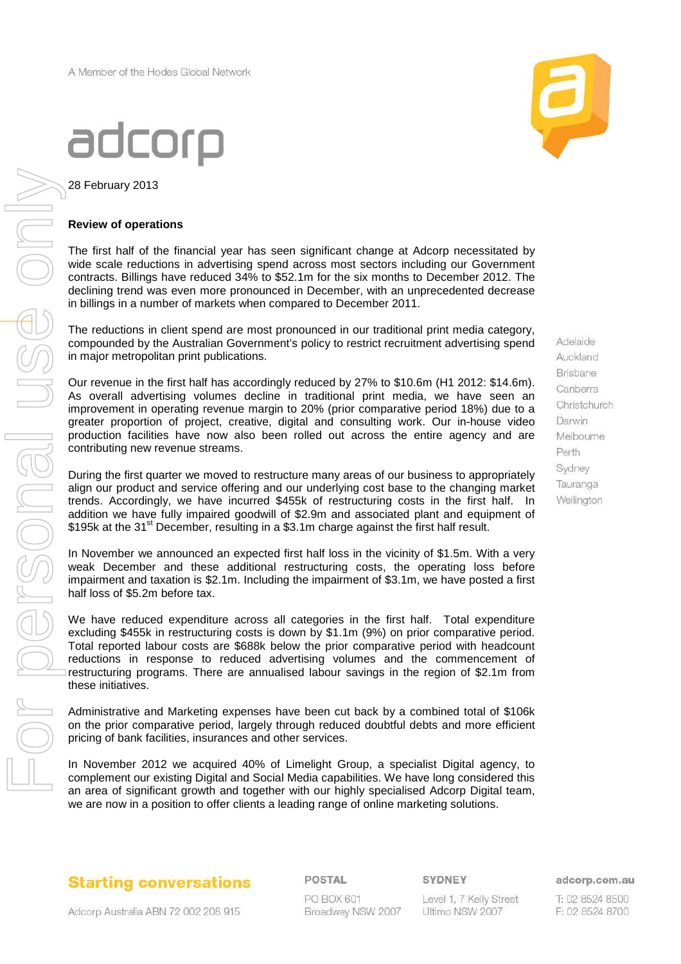28 February 2013

#### **Review of operations**

The first half of the financial year has seen significant change at Adcorp necessitated by wide scale reductions in advertising spend across most sectors including our Government contracts. Billings have reduced 34% to \$52.1m for the six months to December 2012. The declining trend was even more pronounced in December, with an unprecedented decrease in billings in a number of markets when compared to December 2011.

The reductions in client spend are most pronounced in our traditional print media category, compounded by the Australian Government's policy to restrict recruitment advertising spend in major metropolitan print publications.

Our revenue in the first half has accordingly reduced by 27% to \$10.6m (H1 2012: \$14.6m). As overall advertising volumes decline in traditional print media, we have seen an improvement in operating revenue margin to 20% (prior comparative period 18%) due to a greater proportion of project, creative, digital and consulting work. Our in-house video production facilities have now also been rolled out across the entire agency and are contributing new revenue streams.

During the first quarter we moved to restructure many areas of our business to appropriately align our product and service offering and our underlying cost base to the changing market trends. Accordingly, we have incurred \$455k of restructuring costs in the first half. In addition we have fully impaired goodwill of \$2.9m and associated plant and equipment of \$195k at the 31 $\mathrm{^{st}}$  December, resulting in a \$3.1m charge against the first half result.

In November we announced an expected first half loss in the vicinity of \$1.5m. With a very weak December and these additional restructuring costs, the operating loss before impairment and taxation is \$2.1m. Including the impairment of \$3.1m, we have posted a first half loss of \$5.2m before tax.

We have reduced expenditure across all categories in the first half. Total expenditure excluding \$455k in restructuring costs is down by \$1.1m (9%) on prior comparative period. Total reported labour costs are \$688k below the prior comparative period with headcount reductions in response to reduced advertising volumes and the commencement of restructuring programs. There are annualised labour savings in the region of \$2.1m from these initiatives.

Administrative and Marketing expenses have been cut back by a combined total of \$106k on the prior comparative period, largely through reduced doubtful debts and more efficient pricing of bank facilities, insurances and other services.

In November 2012 we acquired 40% of Limelight Group, a specialist Digital agency, to complement our existing Digital and Social Media capabilities. We have long considered this an area of significant growth and together with our highly specialised Adcorp Digital team, we are now in a position to offer clients a leading range of online marketing solutions.



Adelaide Auckland **Brisbane** Canberra Christchurch Darwin Melbourne Perth Sydney Tauranga Wellington

**Starting conversations** 

Adcorp Australia ABN 72 002 208 915

POSTAL PO BOX 601 Broadway NSW 2007 SYDNEY

Level 1, 7 Kelly Street Ultimo NSW 2007

adcorp.com.au

T: 02 8524 8500 F: 02 8524 8700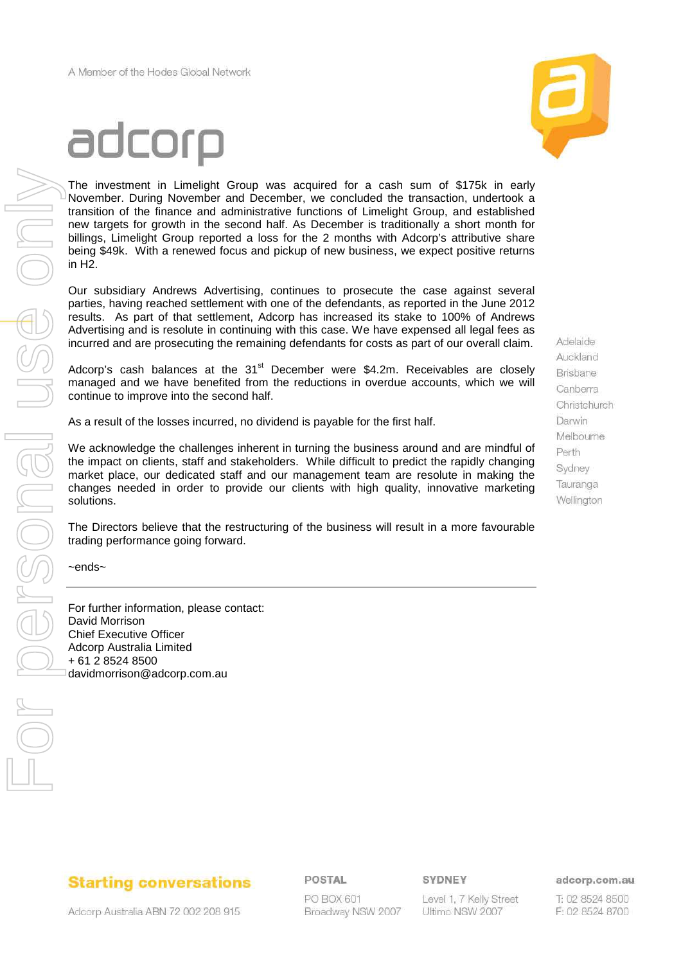

The investment in Limelight Group was acquired for a cash sum of \$175k in early November. During November and December, we concluded the transaction, undertook a transition of the finance and administrative functions of Limelight Group, and established new targets for growth in the second half. As December is traditionally a short month for billings, Limelight Group reported a loss for the 2 months with Adcorp's attributive share being \$49k. With a renewed focus and pickup of new business, we expect positive returns in H2.

Our subsidiary Andrews Advertising, continues to prosecute the case against several parties, having reached settlement with one of the defendants, as reported in the June 2012 results. As part of that settlement, Adcorp has increased its stake to 100% of Andrews Advertising and is resolute in continuing with this case. We have expensed all legal fees as incurred and are prosecuting the remaining defendants for costs as part of our overall claim.

Adcorp's cash balances at the  $31<sup>st</sup>$  December were \$4.2m. Receivables are closely managed and we have benefited from the reductions in overdue accounts, which we will continue to improve into the second half.

As a result of the losses incurred, no dividend is payable for the first half.

We acknowledge the challenges inherent in turning the business around and are mindful of the impact on clients, staff and stakeholders. While difficult to predict the rapidly changing market place, our dedicated staff and our management team are resolute in making the changes needed in order to provide our clients with high quality, innovative marketing solutions.

The Directors believe that the restructuring of the business will result in a more favourable trading performance going forward.

~ends~

For further information, please contact: David Morrison Chief Executive Officer Adcorp Australia Limited + 61 2 8524 8500 davidmorrison@adcorp.com.au

Adelaide Auckland **Brisbane** Canberra Christchurch Darwin Melbourne Perth Sydney Tauranga Wellington

## **Starting conversations**

POSTAL

PO BOX 601 Broadway NSW 2007 SYDNEY

Level 1, 7 Kelly Street Ultimo NSW 2007

adcorp.com.au

T: 02 8524 8500 F: 02 8524 8700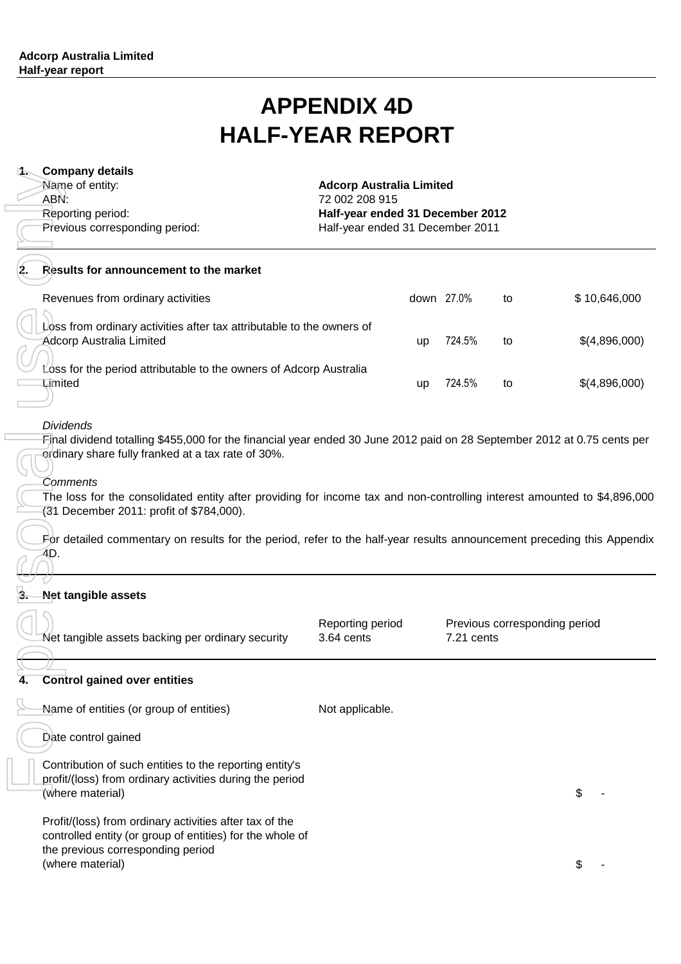## **APPENDIX 4D HALF-YEAR REPORT**

| <b>1. Company details</b><br>Name of entity:<br>ABN:<br>Reporting period: | Previous corresponding period:                                                                                                                                                                                                                                                                                                                                                                                                                                                   | <b>Adcorp Australia Limited</b><br>72 002 208 915<br>Half-year ended 31 December 2012<br>Half-year ended 31 December 2011 |    |            |    |                               |
|---------------------------------------------------------------------------|----------------------------------------------------------------------------------------------------------------------------------------------------------------------------------------------------------------------------------------------------------------------------------------------------------------------------------------------------------------------------------------------------------------------------------------------------------------------------------|---------------------------------------------------------------------------------------------------------------------------|----|------------|----|-------------------------------|
|                                                                           | Results for announcement to the market                                                                                                                                                                                                                                                                                                                                                                                                                                           |                                                                                                                           |    |            |    |                               |
|                                                                           | Revenues from ordinary activities                                                                                                                                                                                                                                                                                                                                                                                                                                                |                                                                                                                           |    | down 27.0% | to | \$10,646,000                  |
|                                                                           | Loss from ordinary activities after tax attributable to the owners of<br><b>Adcorp Australia Limited</b>                                                                                                                                                                                                                                                                                                                                                                         |                                                                                                                           | up | 724.5%     | to | \$(4,896,000)                 |
| Limited                                                                   | Loss for the period attributable to the owners of Adcorp Australia                                                                                                                                                                                                                                                                                                                                                                                                               |                                                                                                                           | up | 724.5%     | to | \$(4,896,000)                 |
| <b>Dividends</b><br>Comments<br>4D.<br><b>Net tangible assets</b>         | Final dividend totalling \$455,000 for the financial year ended 30 June 2012 paid on 28 September 2012 at 0.75 cents per<br>ordinary share fully franked at a tax rate of 30%.<br>The loss for the consolidated entity after providing for income tax and non-controlling interest amounted to \$4,896,000<br>(31 December 2011: profit of \$784,000).<br>For detailed commentary on results for the period, refer to the half-year results announcement preceding this Appendix |                                                                                                                           |    |            |    |                               |
|                                                                           |                                                                                                                                                                                                                                                                                                                                                                                                                                                                                  |                                                                                                                           |    |            |    |                               |
|                                                                           | Net tangible assets backing per ordinary security                                                                                                                                                                                                                                                                                                                                                                                                                                | Reporting period<br>3.64 cents                                                                                            |    | 7.21 cents |    | Previous corresponding period |
| 4.                                                                        | <b>Control gained over entities</b>                                                                                                                                                                                                                                                                                                                                                                                                                                              |                                                                                                                           |    |            |    |                               |
|                                                                           | Name of entities (or group of entities)                                                                                                                                                                                                                                                                                                                                                                                                                                          | Not applicable.                                                                                                           |    |            |    |                               |
| Date control gained                                                       |                                                                                                                                                                                                                                                                                                                                                                                                                                                                                  |                                                                                                                           |    |            |    |                               |
| (where material)                                                          | Contribution of such entities to the reporting entity's<br>profit/(loss) from ordinary activities during the period                                                                                                                                                                                                                                                                                                                                                              |                                                                                                                           |    |            |    | \$                            |
|                                                                           | Profit/(loss) from ordinary activities after tax of the<br>controlled entity (or group of entities) for the whole of<br>the previous corresponding period                                                                                                                                                                                                                                                                                                                        |                                                                                                                           |    |            |    |                               |
| (where material)                                                          |                                                                                                                                                                                                                                                                                                                                                                                                                                                                                  |                                                                                                                           |    |            |    | \$                            |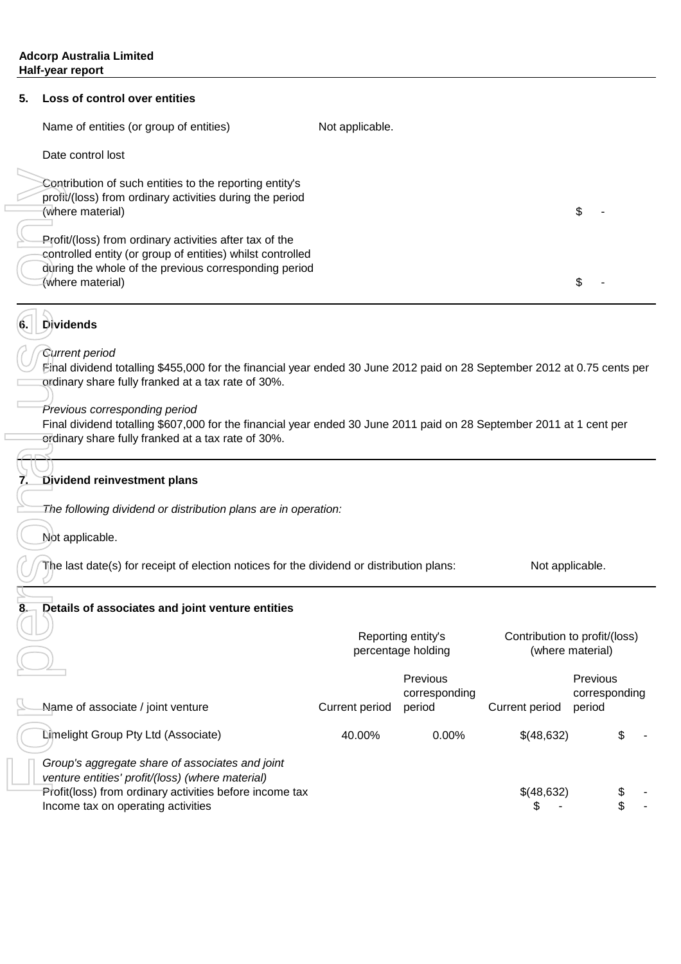#### **5. Loss of control over entities**

| Name of entities (or group of entities)                                                                                                                                                            | Not applicable. |  |
|----------------------------------------------------------------------------------------------------------------------------------------------------------------------------------------------------|-----------------|--|
| Date control lost                                                                                                                                                                                  |                 |  |
| Contribution of such entities to the reporting entity's<br>profit/(loss) from ordinary activities during the period<br>(where material)                                                            |                 |  |
| Profit/(loss) from ordinary activities after tax of the<br>controlled entity (or group of entities) whilst controlled<br>during the whole of the previous corresponding period<br>(where material) |                 |  |

#### **6. Dividends**

#### Current period

#### **Dividend reinvestment plans**

#### **Details of associates and joint venture entities**

| Contribution of such entities to the reporting entity's<br>profit/(loss) from ordinary activities during the period<br>(where material)<br>Profit/(loss) from ordinary activities after tax of the<br>controlled entity (or group of entities) whilst controlled |                |                                          |                       | \$                                                |
|------------------------------------------------------------------------------------------------------------------------------------------------------------------------------------------------------------------------------------------------------------------|----------------|------------------------------------------|-----------------------|---------------------------------------------------|
| during the whole of the previous corresponding period<br>(where material)                                                                                                                                                                                        |                |                                          |                       | \$                                                |
| Dividends<br>6.                                                                                                                                                                                                                                                  |                |                                          |                       |                                                   |
| Current period<br>Einal dividend totalling \$455,000 for the financial year ended 30 June 2012 paid on 28 September 2012 at 0.75 cents per<br>ordinary share fully franked at a tax rate of 30%.                                                                 |                |                                          |                       |                                                   |
| Previous corresponding period<br>Final dividend totalling \$607,000 for the financial year ended 30 June 2011 paid on 28 September 2011 at 1 cent per<br>ordinary share fully franked at a tax rate of 30%.                                                      |                |                                          |                       |                                                   |
| Dividend reinvestment plans                                                                                                                                                                                                                                      |                |                                          |                       |                                                   |
| The following dividend or distribution plans are in operation:                                                                                                                                                                                                   |                |                                          |                       |                                                   |
| Not applicable.                                                                                                                                                                                                                                                  |                |                                          |                       |                                                   |
| The last date(s) for receipt of election notices for the dividend or distribution plans:                                                                                                                                                                         |                |                                          | Not applicable.       |                                                   |
| Details of associates and joint venture entities                                                                                                                                                                                                                 |                |                                          |                       |                                                   |
|                                                                                                                                                                                                                                                                  |                | Reporting entity's<br>percentage holding |                       | Contribution to profit/(loss)<br>(where material) |
| Name of associate / joint venture                                                                                                                                                                                                                                | Current period | Previous<br>corresponding<br>period      | <b>Current period</b> | Previous<br>corresponding<br>period               |
| Limelight Group Pty Ltd (Associate)                                                                                                                                                                                                                              | 40.00%         | 0.00%                                    | \$(48,632)            | \$                                                |
| Group's aggregate share of associates and joint<br>venture entities' profit/(loss) (where material)<br>Profit(loss) from ordinary activities before income tax<br>Income tax on operating activities                                                             |                |                                          | \$(48,632)<br>\$      | \$                                                |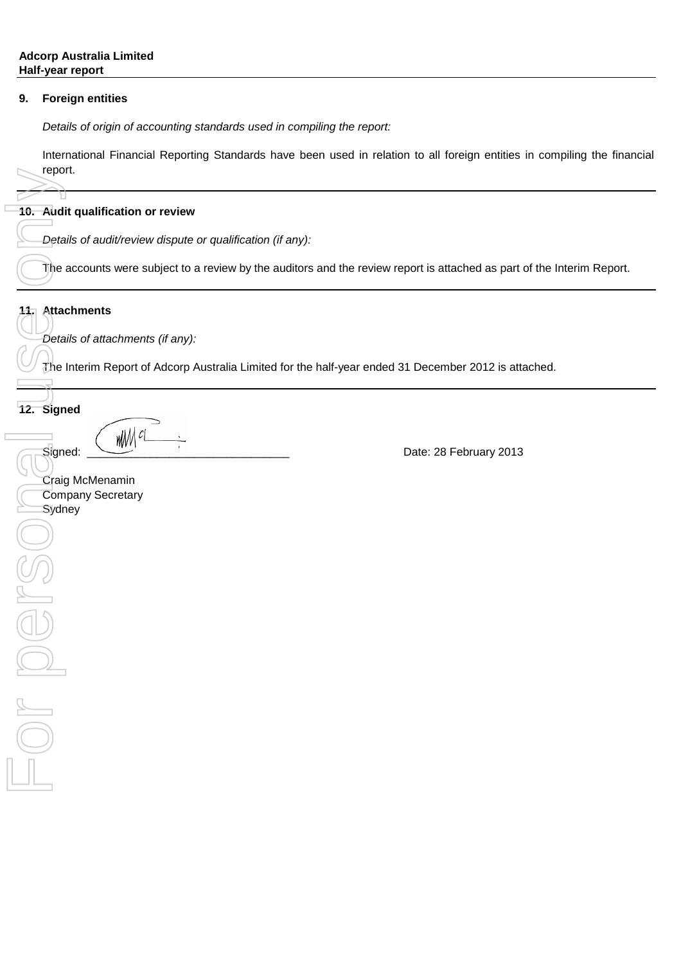#### **9. Foreign entities**

Details of origin of accounting standards used in compiling the report:

International Financial Reporting Standards have been used in relation to all foreign entities in compiling the financial report.

#### **10. Audit qualification or review**

Details of audit/review dispute or qualification (if any):

The accounts were subject to a review by the auditors and the review report is attached as part of the Interim Report.

#### **11. Attachments**

Е

Details of attachments (if any):

The Interim Report of Adcorp Australia Limited for the half-year ended 31 December 2012 is attached.

### **12. Signed**

 $\begin{CD} \mathcal{S} \text{ is given by } \mathcal{S} \text{ is given by } \mathcal{S} \text{ is given by } \mathcal{S} \text{ is given by } \mathcal{S} \text{ is given by } \mathcal{S} \text{ is given by } \mathcal{S} \text{ is given by } \mathcal{S} \text{ is given by } \mathcal{S} \text{ is given by } \mathcal{S} \text{ is given by } \mathcal{S} \text{ is given by } \mathcal{S} \text{ is given by } \mathcal{S} \text{ is given by } \mathcal{S} \text{ is given by } \mathcal{S} \text{ is given by } \mathcal{S} \text{ is given by } \mathcal{S} \$ 

For Audi<br>To. Audi<br>To. Audi<br>The Deta<br>The Deta<br>The Deta<br>Sydr<br>Sydr<br>Sydr<br>Sydr<br>Deta<br>Sydr<br>Deta Craig McMenamin Company Secretary **Sydney**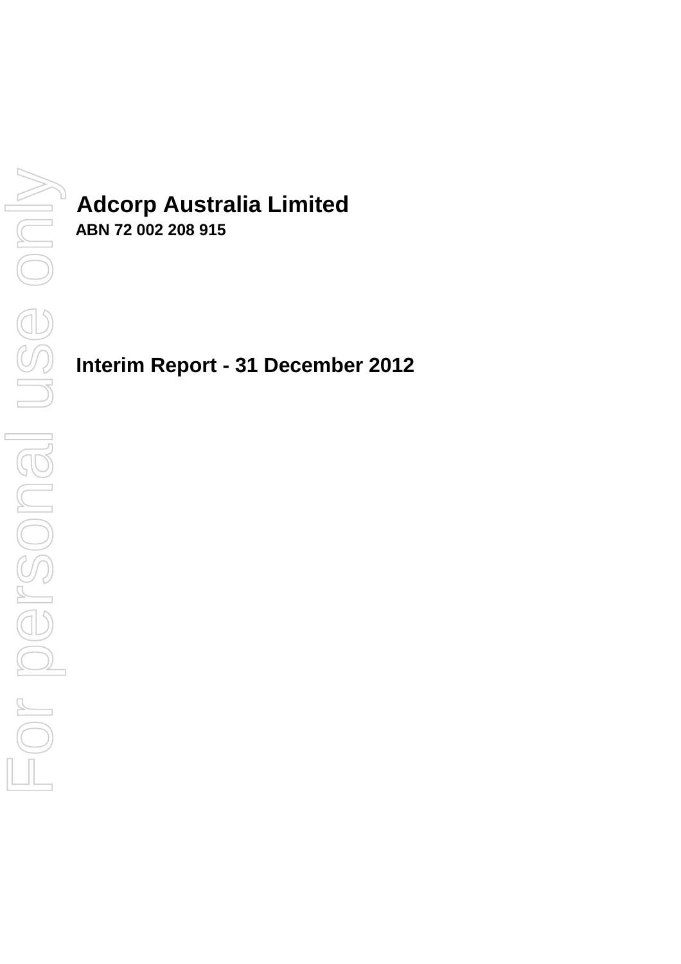# **Adcorp Australia Limited**

**ABN 72 002 208 915**

**Interim Report - 31 December 2012**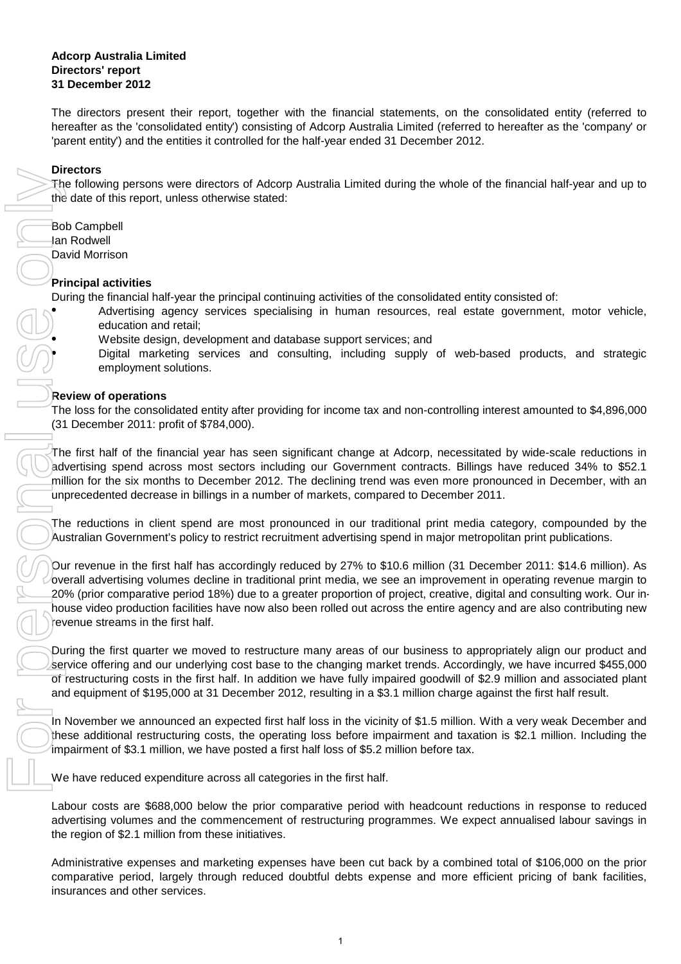#### **Adcorp Australia Limited Directors' report 31 December 2012**

The directors present their report, together with the financial statements, on the consolidated entity (referred to hereafter as the 'consolidated entity') consisting of Adcorp Australia Limited (referred to hereafter as the 'company' or 'parent entity') and the entities it controlled for the half-year ended 31 December 2012.

#### **Directors**

The following persons were directors of Adcorp Australia Limited during the whole of the financial half-year and up to the date of this report, unless otherwise stated:

David Morrison Bob Campbell Ian Rodwell

#### **Principal activities**

During the financial half-year the principal continuing activities of the consolidated entity consisted of:

Advertising agency services specialising in human resources, real estate government, motor vehicle, education and retail;

Website design, development and database support services; and

Digital marketing services and consulting, including supply of web-based products, and strategic employment solutions.

#### **Review of operations**

The loss for the consolidated entity after providing for income tax and non-controlling interest amounted to \$4,896,000 (31 December 2011: profit of \$784,000).

The first half of the financial year has seen significant change at Adcorp, necessitated by wide-scale reductions in advertising spend across most sectors including our Government contracts. Billings have reduced 34% to \$52.1 million for the six months to December 2012. The declining trend was even more pronounced in December, with an unprecedented decrease in billings in a number of markets, compared to December 2011.

The reductions in client spend are most pronounced in our traditional print media category, compounded by the Australian Government's policy to restrict recruitment advertising spend in major metropolitan print publications.

Our revenue in the first half has accordingly reduced by 27% to \$10.6 million (31 December 2011: \$14.6 million). As overall advertising volumes decline in traditional print media, we see an improvement in operating revenue margin to 20% (prior comparative period 18%) due to a greater proportion of project, creative, digital and consulting work. Our inhouse video production facilities have now also been rolled out across the entire agency and are also contributing new revenue streams in the first half.

During the first quarter we moved to restructure many areas of our business to appropriately align our product and service offering and our underlying cost base to the changing market trends. Accordingly, we have incurred \$455,000 of restructuring costs in the first half. In addition we have fully impaired goodwill of \$2.9 million and associated plant and equipment of \$195,000 at 31 December 2012, resulting in a \$3.1 million charge against the first half result.

In November we announced an expected first half loss in the vicinity of \$1.5 million. With a very weak December and these additional restructuring costs, the operating loss before impairment and taxation is \$2.1 million. Including the impairment of \$3.1 million, we have posted a first half loss of \$5.2 million before tax.

We have reduced expenditure across all categories in the first half.

Labour costs are \$688,000 below the prior comparative period with headcount reductions in response to reduced advertising volumes and the commencement of restructuring programmes. We expect annualised labour savings in the region of \$2.1 million from these initiatives.

Administrative expenses and marketing expenses have been cut back by a combined total of \$106,000 on the prior comparative period, largely through reduced doubtful debts expense and more efficient pricing of bank facilities, insurances and other services.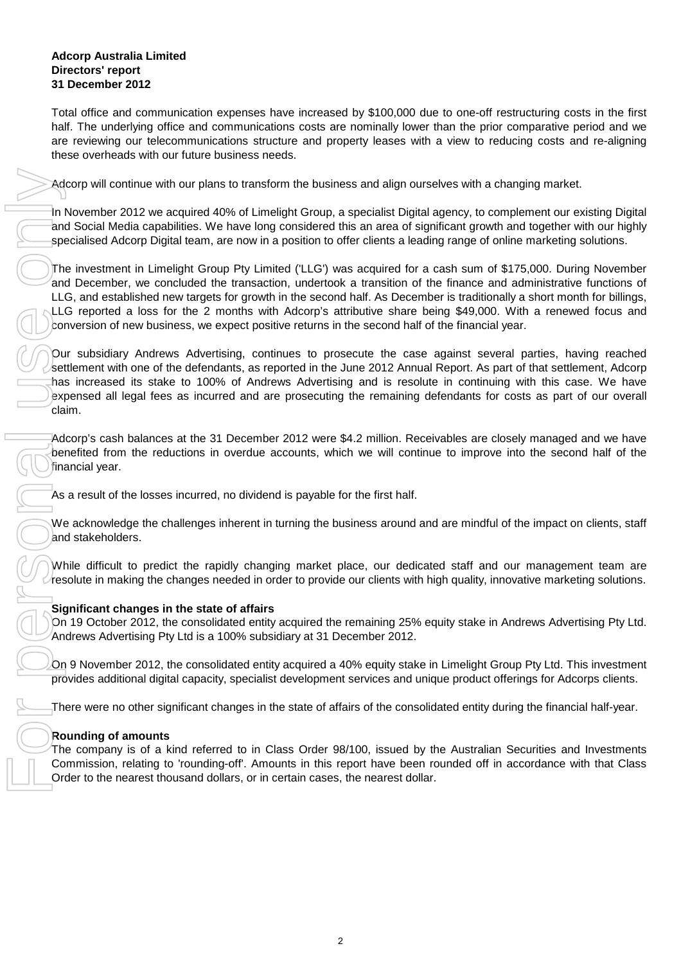#### **Adcorp Australia Limited Directors' report 31 December 2012**

Total office and communication expenses have increased by \$100,000 due to one-off restructuring costs in the first half. The underlying office and communications costs are nominally lower than the prior comparative period and we are reviewing our telecommunications structure and property leases with a view to reducing costs and re-aligning these overheads with our future business needs.

Adcorp will continue with our plans to transform the business and align ourselves with a changing market.

In November 2012 we acquired 40% of Limelight Group, a specialist Digital agency, to complement our existing Digital and Social Media capabilities. We have long considered this an area of significant growth and together with our highly specialised Adcorp Digital team, are now in a position to offer clients a leading range of online marketing solutions.

The investment in Limelight Group Pty Limited ('LLG') was acquired for a cash sum of \$175,000. During November and December, we concluded the transaction, undertook a transition of the finance and administrative functions of LLG, and established new targets for growth in the second half. As December is traditionally a short month for billings, LLG reported a loss for the 2 months with Adcorp's attributive share being \$49,000. With a renewed focus and conversion of new business, we expect positive returns in the second half of the financial year.

Our subsidiary Andrews Advertising, continues to prosecute the case against several parties, having reached settlement with one of the defendants, as reported in the June 2012 Annual Report. As part of that settlement, Adcorp has increased its stake to 100% of Andrews Advertising and is resolute in continuing with this case. We have expensed all legal fees as incurred and are prosecuting the remaining defendants for costs as part of our overall claim.

Adcorp's cash balances at the 31 December 2012 were \$4.2 million. Receivables are closely managed and we have benefited from the reductions in overdue accounts, which we will continue to improve into the second half of the financial year.

As a result of the losses incurred, no dividend is payable for the first half.

We acknowledge the challenges inherent in turning the business around and are mindful of the impact on clients, staff and stakeholders.

While difficult to predict the rapidly changing market place, our dedicated staff and our management team are resolute in making the changes needed in order to provide our clients with high quality, innovative marketing solutions.

#### **Significant changes in the state of affairs**

On 19 October 2012, the consolidated entity acquired the remaining 25% equity stake in Andrews Advertising Pty Ltd. Andrews Advertising Pty Ltd is a 100% subsidiary at 31 December 2012.

On 9 November 2012, the consolidated entity acquired a 40% equity stake in Limelight Group Pty Ltd. This investment provides additional digital capacity, specialist development services and unique product offerings for Adcorps clients.

There were no other significant changes in the state of affairs of the consolidated entity during the financial half-year.

#### **Rounding of amounts**

The company is of a kind referred to in Class Order 98/100, issued by the Australian Securities and Investments Commission, relating to 'rounding-off'. Amounts in this report have been rounded off in accordance with that Class Order to the nearest thousand dollars, or in certain cases, the nearest dollar.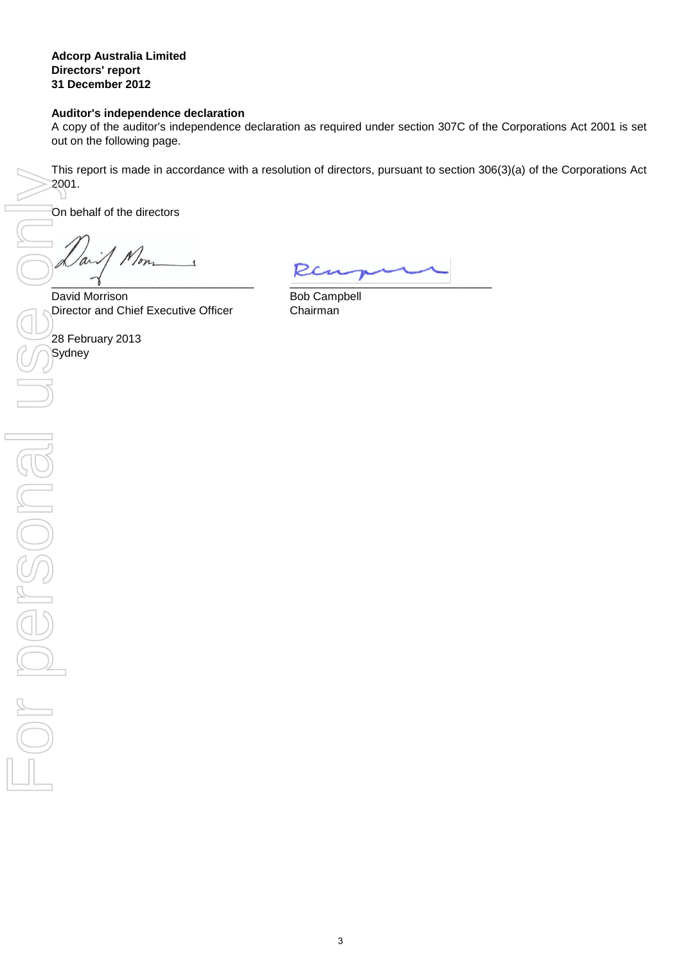#### **Adcorp Australia Limited Directors' report 31 December 2012**

#### **Auditor's independence declaration**

A copy of the auditor's independence declaration as required under section 307C of the Corporations Act 2001 is set out on the following page.

This report is made in accordance with a resolution of directors, pursuant to section 306(3)(a) of the Corporations Act 2001.

On behalf of the directors

 $\gamma$ 

Director and Chief Executive Officer Chairman David Morrison

**Sydney** 28 February 2013

 $\frac{1}{2}$  ,  $\frac{1}{2}$  ,  $\frac{1}{2}$  ,  $\frac{1}{2}$  ,  $\frac{1}{2}$  ,  $\frac{1}{2}$  ,  $\frac{1}{2}$  ,  $\frac{1}{2}$  ,  $\frac{1}{2}$  ,  $\frac{1}{2}$  ,  $\frac{1}{2}$  ,  $\frac{1}{2}$  ,  $\frac{1}{2}$  ,  $\frac{1}{2}$  ,  $\frac{1}{2}$  ,  $\frac{1}{2}$  ,  $\frac{1}{2}$  ,  $\frac{1}{2}$  ,  $\frac{1$ 

Bob Campbell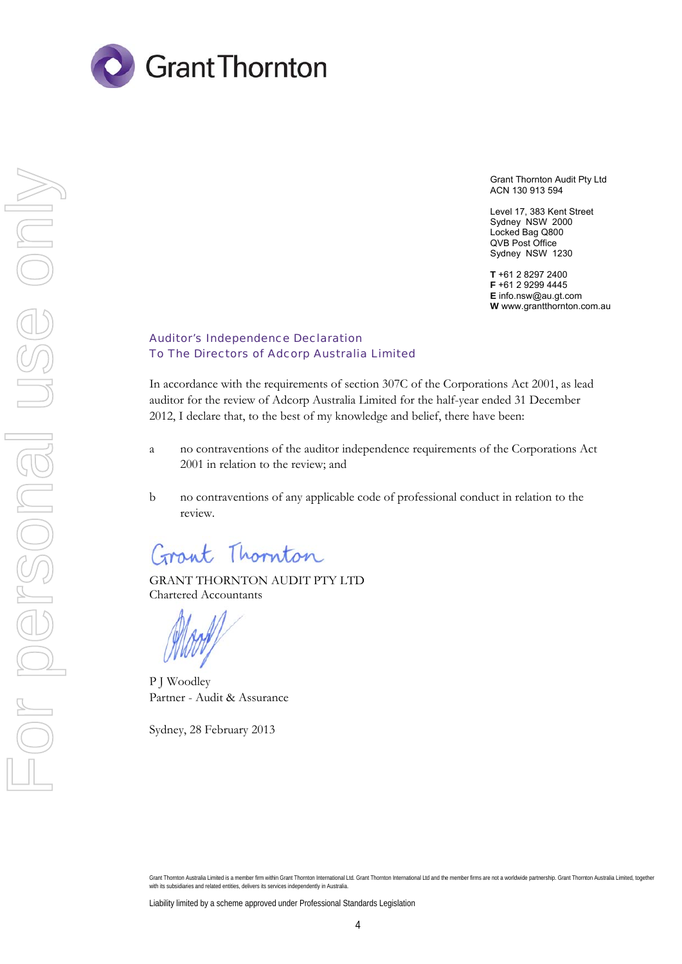

Grant Thornton Audit Pty Ltd ACN 130 913 594

Level 17, 383 Kent Street Sydney NSW 2000 Locked Bag Q800 QVB Post Office Sydney NSW 1230

**T** +61 2 8297 2400 **F** +61 2 9299 4445 **E** info.nsw@au.gt.com **W** www.grantthornton.com.au

#### Auditor's Independence Declaration To The Directors of Adcorp Australia Limited

In accordance with the requirements of section 307C of the Corporations Act 2001, as lead auditor for the review of Adcorp Australia Limited for the half-year ended 31 December 2012, I declare that, to the best of my knowledge and belief, there have been:

- a no contraventions of the auditor independence requirements of the Corporations Act 2001 in relation to the review; and
- b no contraventions of any applicable code of professional conduct in relation to the review.

Grant Thornton

GRANT THORNTON AUDIT PTY LTD Chartered Accountants

P J Woodley Partner - Audit & Assurance

Sydney, 28 February 2013

Grant Thornton Australia Limited is a member firm within Grant Thornton International Ltd. Grant Thornton International Ltd and the member firms are not a worldwide partnership. Grant Thornton Australia Limited, together with its subsidiaries and related entities, delivers its services independently in Australia.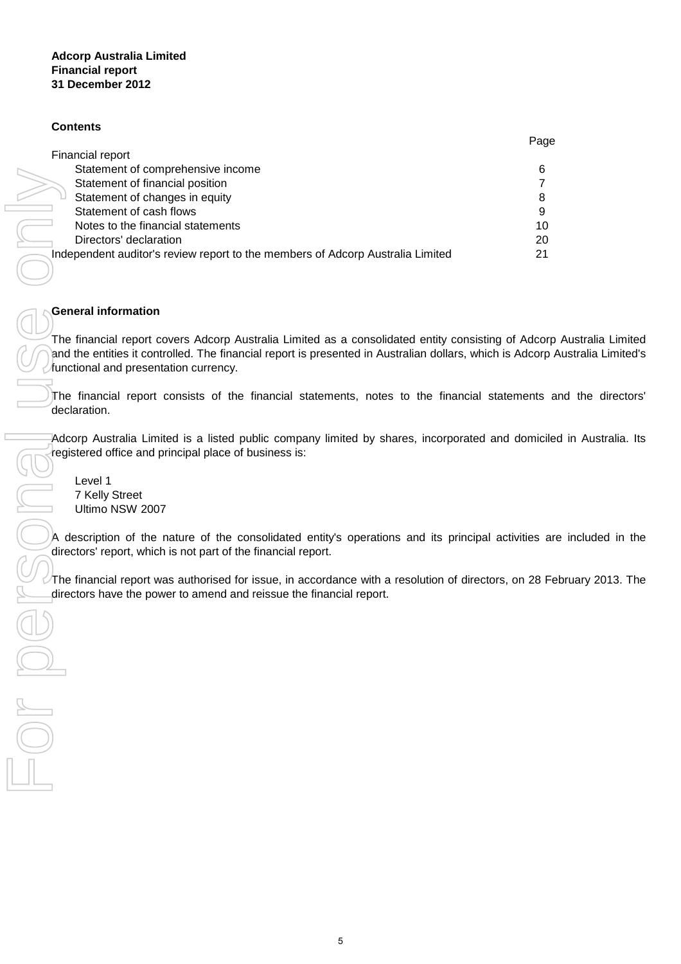#### **Contents**

|                                                                                | Page |
|--------------------------------------------------------------------------------|------|
| Financial report                                                               |      |
| Statement of comprehensive income                                              | 6    |
| Statement of financial position                                                |      |
| Statement of changes in equity                                                 |      |
| Statement of cash flows                                                        | 9    |
| Notes to the financial statements                                              | 10   |
| Directors' declaration                                                         | 20   |
| Independent auditor's review report to the members of Adcorp Australia Limited | 21   |
|                                                                                |      |

#### **General information**

The financial report covers Adcorp Australia Limited as a consolidated entity consisting of Adcorp Australia Limited and the entities it controlled. The financial report is presented in Australian dollars, which is Adcorp Australia Limited's functional and presentation currency.

The financial report consists of the financial statements, notes to the financial statements and the directors' declaration.

Adcorp Australia Limited is a listed public company limited by shares, incorporated and domiciled in Australia. Its registered office and principal place of business is:

Level 1 7 Kelly Street Ultimo NSW 2007

A description of the nature of the consolidated entity's operations and its principal activities are included in the directors' report, which is not part of the financial report.

 $\triangleright$ The financial report was authorised for issue, in accordance with a resolution of directors, on 28 February 2013. The directors have the power to amend and reissue the financial report.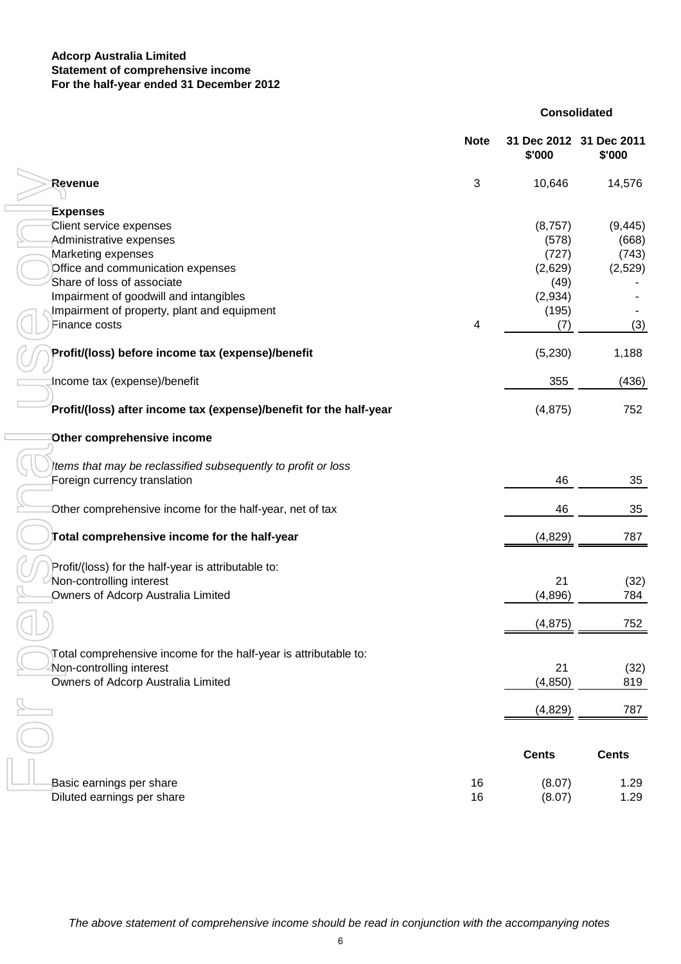#### **Adcorp Australia Limited For the half-year ended 31 December 2012 Statement of comprehensive income**

#### **Consolidated**

|                                                                    | <b>Note</b> | \$'000       | 31 Dec 2012 31 Dec 2011<br>\$'000 |
|--------------------------------------------------------------------|-------------|--------------|-----------------------------------|
| Revenue                                                            | $\sqrt{3}$  | 10,646       | 14,576                            |
| <b>Expenses</b>                                                    |             |              |                                   |
| Client service expenses                                            |             | (8,757)      | (9, 445)                          |
| Administrative expenses                                            |             | (578)        | (668)                             |
| Marketing expenses                                                 |             | (727)        | (743)                             |
| Office and communication expenses                                  |             | (2,629)      |                                   |
| Share of loss of associate                                         |             |              | (2,529)                           |
|                                                                    |             | (49)         |                                   |
| Impairment of goodwill and intangibles                             |             | (2,934)      |                                   |
| Impairment of property, plant and equipment                        |             | (195)        |                                   |
| Finance costs                                                      | 4           | (7)          | (3)                               |
| Profit/(loss) before income tax (expense)/benefit                  |             | (5,230)      | 1,188                             |
| Income tax (expense)/benefit                                       |             | 355          | (436)                             |
| Profit/(loss) after income tax (expense)/benefit for the half-year |             | (4, 875)     | 752                               |
| Other comprehensive income                                         |             |              |                                   |
| tems that may be reclassified subsequently to profit or loss       |             |              |                                   |
| Foreign currency translation                                       |             | 46           | 35                                |
| Other comprehensive income for the half-year, net of tax           |             | 46           | 35                                |
| Total comprehensive income for the half-year                       |             | (4,829)      | 787                               |
| Profit/(loss) for the half-year is attributable to:                |             |              |                                   |
| Non-controlling interest                                           |             | 21           | (32)                              |
| Owners of Adcorp Australia Limited                                 |             | (4,896)      | 784                               |
|                                                                    |             | (4, 875)     | 752                               |
|                                                                    |             |              |                                   |
| Total comprehensive income for the half-year is attributable to:   |             |              |                                   |
| Non-controlling interest                                           |             | 21           | (32)                              |
| Owners of Adcorp Australia Limited                                 |             | (4, 850)     | 819                               |
|                                                                    |             | (4,829)      | 787                               |
|                                                                    |             |              |                                   |
|                                                                    |             | <b>Cents</b> | <b>Cents</b>                      |
| Basic earnings per share                                           | 16          | (8.07)       | 1.29                              |
| Diluted earnings per share                                         | 16          | (8.07)       | 1.29                              |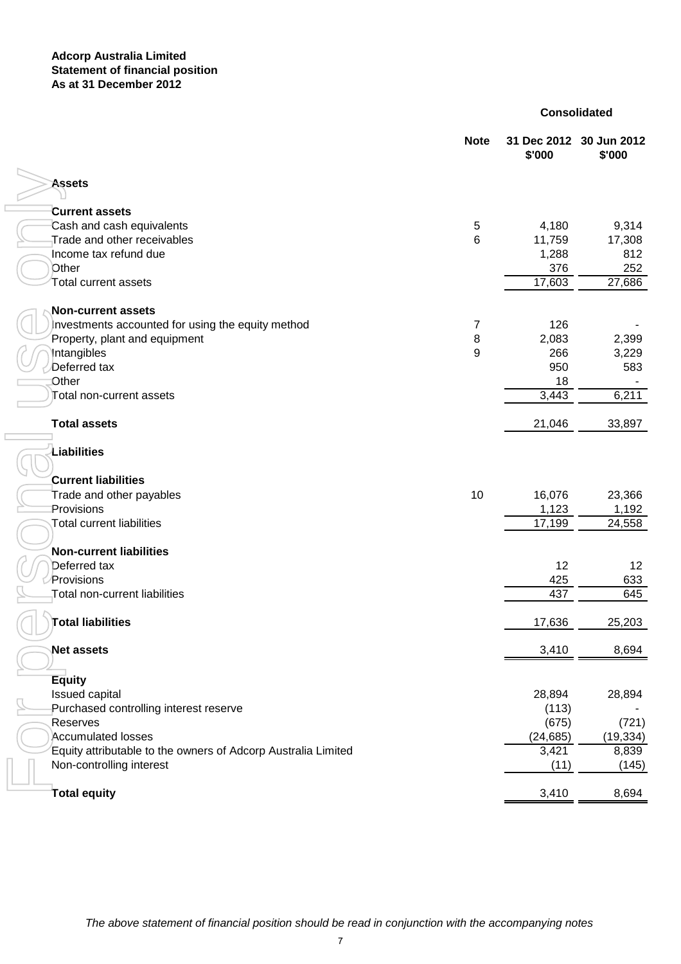#### **Consolidated**

|                                                               | <b>Note</b>    | \$'000    | 31 Dec 2012 30 Jun 2012<br>\$'000 |
|---------------------------------------------------------------|----------------|-----------|-----------------------------------|
| <b>Assets</b>                                                 |                |           |                                   |
|                                                               |                |           |                                   |
| <b>Current assets</b>                                         |                |           |                                   |
| Cash and cash equivalents                                     | 5              | 4,180     | 9,314                             |
| Trade and other receivables                                   | $6\phantom{1}$ | 11,759    | 17,308                            |
| Income tax refund due                                         |                | 1,288     | 812                               |
| Other                                                         |                | 376       | 252                               |
| Total current assets                                          |                | 17,603    | 27,686                            |
| <b>Non-current assets</b>                                     |                |           |                                   |
| Investments accounted for using the equity method             | 7              | 126       |                                   |
| Property, plant and equipment                                 | 8              | 2,083     | 2,399                             |
| Intangibles                                                   | 9              | 266       | 3,229                             |
| Deferred tax                                                  |                | 950       | 583                               |
| Other                                                         |                | 18        |                                   |
| Total non-current assets                                      |                | 3,443     | 6,211                             |
| <b>Total assets</b>                                           |                | 21,046    | 33,897                            |
| Liabilities                                                   |                |           |                                   |
| <b>Current liabilities</b>                                    |                |           |                                   |
| Trade and other payables                                      | 10             | 16,076    | 23,366                            |
| Provisions                                                    |                | 1,123     | 1,192                             |
| <b>Total current liabilities</b>                              |                | 17,199    | 24,558                            |
| <b>Non-current liabilities</b>                                |                |           |                                   |
| Deferred tax                                                  |                | 12        | 12                                |
| Provisions                                                    |                | 425       | 633                               |
| Total non-current liabilities                                 |                | 437       | 645                               |
| <b>Total liabilities</b>                                      |                | 17,636    | 25,203                            |
| <b>Net assets</b>                                             |                | 3,410     | 8,694                             |
| <b>Equity</b>                                                 |                |           |                                   |
| Issued capital                                                |                | 28,894    | 28,894                            |
| Purchased controlling interest reserve                        |                | (113)     |                                   |
| Reserves                                                      |                | (675)     | (721)                             |
| Accumulated losses                                            |                | (24, 685) | (19, 334)                         |
| Equity attributable to the owners of Adcorp Australia Limited |                | 3,421     | 8,839                             |
| Non-controlling interest                                      |                | (11)      | (145)                             |
| Total equity                                                  |                | 3,410     | 8,694                             |
|                                                               |                |           |                                   |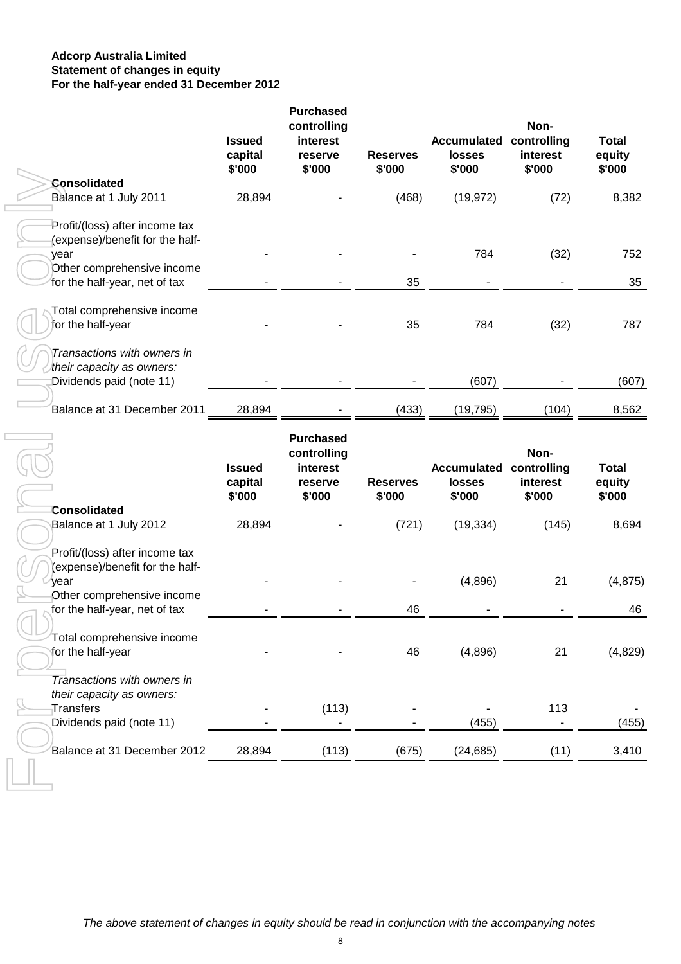#### **Adcorp Australia Limited For the half-year ended 31 December 2012 Statement of changes in equity**

|                                                                                                                                          | <b>Issued</b><br>capital<br>\$'000 | <b>Purchased</b><br>controlling<br>interest<br>reserve<br>\$'000 | <b>Reserves</b><br>\$'000 | <b>Accumulated controlling</b><br>losses<br>\$'000 | Non-<br>interest<br>\$'000 | <b>Total</b><br>equity<br>\$'000 |
|------------------------------------------------------------------------------------------------------------------------------------------|------------------------------------|------------------------------------------------------------------|---------------------------|----------------------------------------------------|----------------------------|----------------------------------|
| <b>Consolidated</b>                                                                                                                      |                                    |                                                                  |                           |                                                    |                            |                                  |
| Balance at 1 July 2011                                                                                                                   | 28,894                             |                                                                  | (468)                     | (19, 972)                                          | (72)                       | 8,382                            |
| Profit/(loss) after income tax<br>(expense)/benefit for the half-<br>year<br>Other comprehensive income<br>for the half-year, net of tax |                                    |                                                                  | 35                        | 784                                                | (32)                       | 752<br>35                        |
| Total comprehensive income<br>for the half-year                                                                                          |                                    |                                                                  | 35                        | 784                                                | (32)                       | 787                              |
| Transactions with owners in<br>their capacity as owners:<br>Dividends paid (note 11)                                                     |                                    |                                                                  |                           | (607)                                              |                            | (607)                            |
| Balance at 31 December 2011                                                                                                              | 28,894                             |                                                                  | (433)                     | (19, 795)                                          | (104)                      | 8,562                            |
|                                                                                                                                          |                                    | <b>Purchased</b><br>controlling                                  |                           |                                                    | Non-                       |                                  |
|                                                                                                                                          | <b>Issued</b><br>capital<br>\$'000 | interest<br>reserve<br>\$'000                                    | <b>Reserves</b><br>\$'000 | <b>Accumulated controlling</b><br>losses<br>\$'000 | interest<br>\$'000         | <b>Total</b><br>equity<br>\$'000 |
| <b>Consolidated</b><br>Balance at 1 July 2012                                                                                            | 28,894                             |                                                                  | (721)                     | (19, 334)                                          | (145)                      | 8,694                            |
| Profit/(loss) after income tax<br>(expense)/benefit for the half-<br>year<br>Other comprehensive income<br>for the half-year, net of tax |                                    |                                                                  | 46                        | (4,896)                                            | 21                         | (4, 875)<br>46                   |
| Total comprehensive income<br>for the half-year                                                                                          |                                    |                                                                  | 46                        | (4,896)                                            | 21                         | (4,829)                          |
| Transactions with owners in<br>their capacity as owners:<br>Transfers<br>Dividends paid (note 11)                                        |                                    | (113)                                                            |                           | (455)                                              | 113                        | (455)                            |
| Balance at 31 December 2012                                                                                                              | 28,894                             | (113)                                                            | (675)                     | (24, 685)                                          | (11)                       | 3,410                            |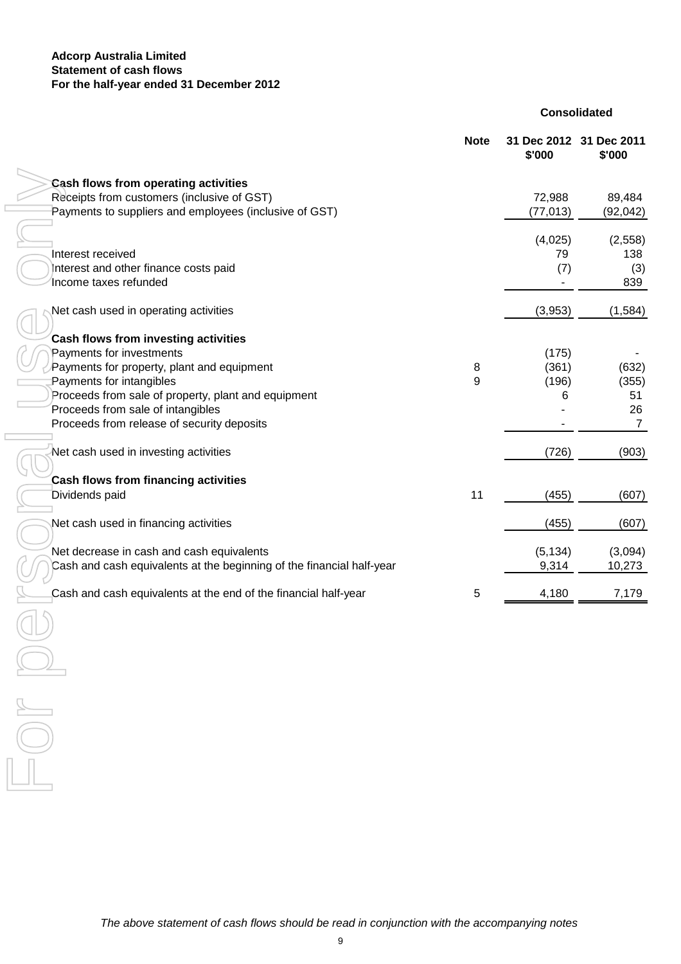#### **Adcorp Australia Limited For the half-year ended 31 December 2012 Statement of cash flows**

**Consolidated**

| <b>Note</b>                                                           | 31 Dec 2012 31 Dec 2011<br>\$'000 | \$'000         |
|-----------------------------------------------------------------------|-----------------------------------|----------------|
| <b>Cash flows from operating activities</b>                           |                                   |                |
| Receipts from customers (inclusive of GST)                            | 72,988                            | 89,484         |
| Payments to suppliers and employees (inclusive of GST)                | (77, 013)                         | (92, 042)      |
|                                                                       |                                   |                |
|                                                                       | (4,025)                           | (2,558)        |
| Interest received                                                     | 79                                | 138            |
| Interest and other finance costs paid                                 | (7)                               | (3)            |
| Income taxes refunded                                                 |                                   | 839            |
| Net cash used in operating activities                                 | (3,953)                           | (1, 584)       |
| Cash flows from investing activities                                  |                                   |                |
| Payments for investments                                              | (175)                             |                |
| Payments for property, plant and equipment<br>8                       | (361)                             | (632)          |
| Payments for intangibles<br>9                                         | (196)                             | (355)          |
| Proceeds from sale of property, plant and equipment                   | 6                                 | 51             |
| Proceeds from sale of intangibles                                     |                                   | 26             |
| Proceeds from release of security deposits                            |                                   | $\overline{7}$ |
|                                                                       |                                   |                |
| Net cash used in investing activities                                 | (726)                             | (903)          |
| Cash flows from financing activities                                  |                                   |                |
| Dividends paid<br>11                                                  | (455)                             | (607)          |
|                                                                       |                                   |                |
| Net cash used in financing activities                                 | (455)                             | (607)          |
| Net decrease in cash and cash equivalents                             | (5, 134)                          | (3,094)        |
| Cash and cash equivalents at the beginning of the financial half-year | 9,314                             | 10,273         |
|                                                                       |                                   |                |
| Cash and cash equivalents at the end of the financial half-year<br>5  | 4,180                             | 7,179          |

**For Personal Personal Personal Personal Personal Personal Personal Personal Personal Personal Personal Personal Personal Personal Personal Personal Personal Personal Personal Personal Personal Personal Personal Personal P**  $\frac{1}{\sqrt{2}}$  $\sqrt{2}$  $\overline{\phantom{a}}$  $\overline{\phantom{a}}$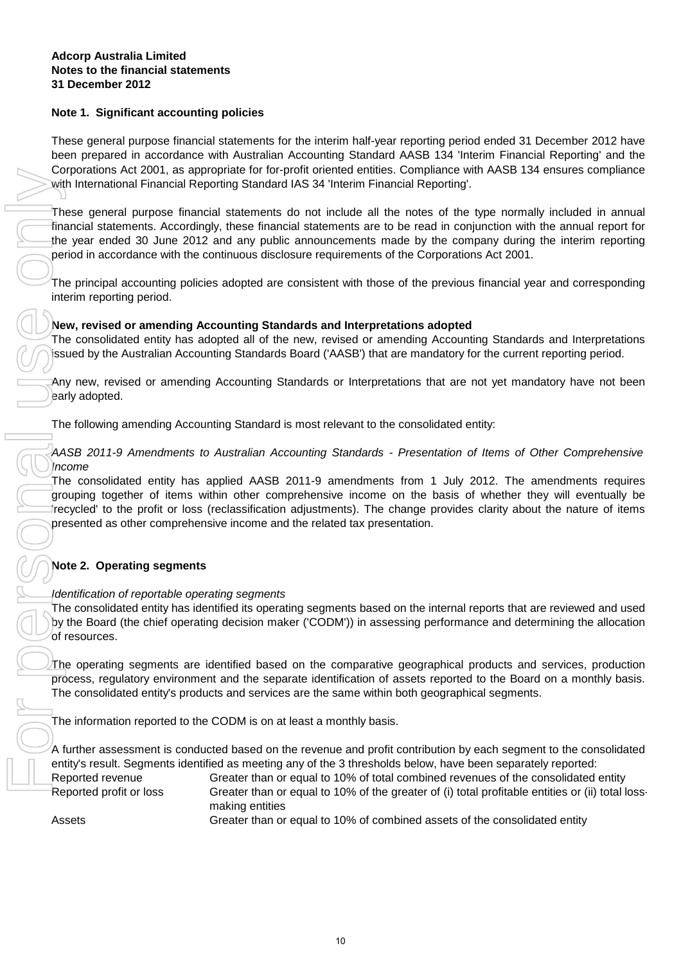#### **Note 1. Significant accounting policies**

These general purpose financial statements for the interim half-year reporting period ended 31 December 2012 have been prepared in accordance with Australian Accounting Standard AASB 134 'Interim Financial Reporting' and the Corporations Act 2001, as appropriate for for-profit oriented entities. Compliance with AASB 134 ensures compliance with International Financial Reporting Standard IAS 34 'Interim Financial Reporting'.

These general purpose financial statements do not include all the notes of the type normally included in annual financial statements. Accordingly, these financial statements are to be read in conjunction with the annual report for the year ended 30 June 2012 and any public announcements made by the company during the interim reporting period in accordance with the continuous disclosure requirements of the Corporations Act 2001.

The principal accounting policies adopted are consistent with those of the previous financial year and corresponding interim reporting period.

#### **New, revised or amending Accounting Standards and Interpretations adopted**

The consolidated entity has adopted all of the new, revised or amending Accounting Standards and Interpretations issued by the Australian Accounting Standards Board ('AASB') that are mandatory for the current reporting period.

Any new, revised or amending Accounting Standards or Interpretations that are not yet mandatory have not been early adopted.

The following amending Accounting Standard is most relevant to the consolidated entity:

#### AASB 2011-9 Amendments to Australian Accounting Standards - Presentation of Items of Other Comprehensive Income

The consolidated entity has applied AASB 2011-9 amendments from 1 July 2012. The amendments requires grouping together of items within other comprehensive income on the basis of whether they will eventually be 'recycled' to the profit or loss (reclassification adjustments). The change provides clarity about the nature of items presented as other comprehensive income and the related tax presentation.

#### **Note 2. Operating segments**

#### Identification of reportable operating segments

The consolidated entity has identified its operating segments based on the internal reports that are reviewed and used by the Board (the chief operating decision maker ('CODM')) in assessing performance and determining the allocation of resources.

The operating segments are identified based on the comparative geographical products and services, production process, regulatory environment and the separate identification of assets reported to the Board on a monthly basis. The consolidated entity's products and services are the same within both geographical segments.

The information reported to the CODM is on at least a monthly basis.

A further assessment is conducted based on the revenue and profit contribution by each segment to the consolidated entity's result. Segments identified as meeting any of the 3 thresholds below, have been separately reported:

Reported revenue Greater than or equal to 10% of total combined revenues of the consolidated entity Reported profit or loss

Greater than or equal to 10% of combined assets of the consolidated entity Greater than or equal to 10% of the greater of (i) total profitable entities or (ii) total lossmaking entities

Assets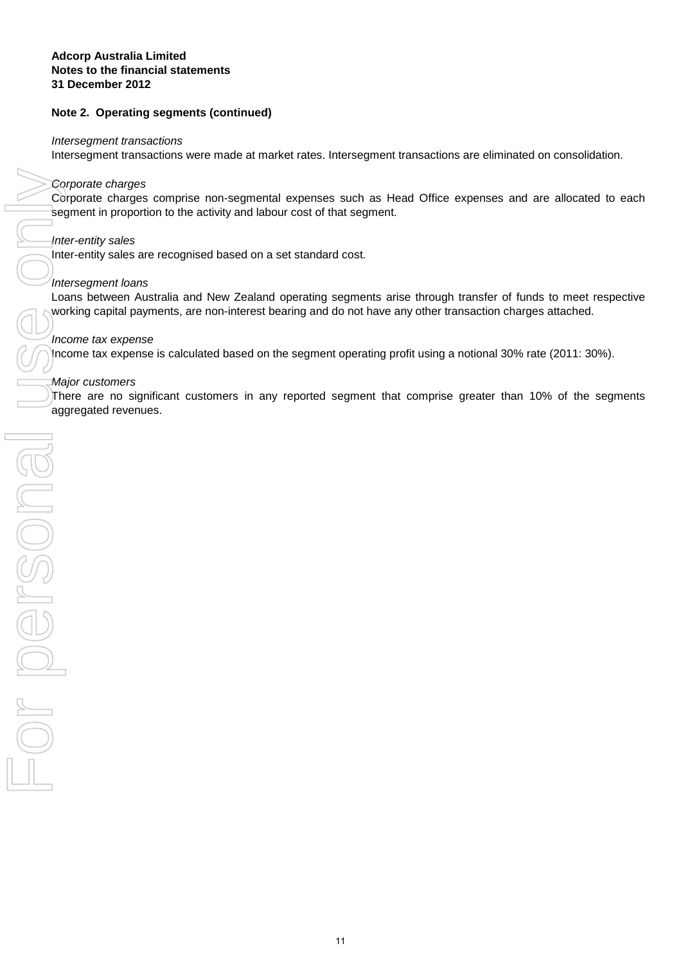#### **Notes to the financial statements Adcorp Australia Limited 31 December 2012**

#### **Note 2. Operating segments (continued)**

#### Intersegment transactions

Intersegment transactions were made at market rates. Intersegment transactions are eliminated on consolidation.

#### Corporate charges

Corporate charges comprise non-segmental expenses such as Head Office expenses and are allocated to each segment in proportion to the activity and labour cost of that segment.

#### Inter-entity sales

Inter-entity sales are recognised based on a set standard cost.

#### Intersegment loans

Loans between Australia and New Zealand operating segments arise through transfer of funds to meet respective working capital payments, are non-interest bearing and do not have any other transaction charges attached.

#### Income tax expense

Income tax expense is calculated based on the segment operating profit using a notional 30% rate (2011: 30%).

#### Major customers

There are no significant customers in any reported segment that comprise greater than 10% of the segments aggregated revenues.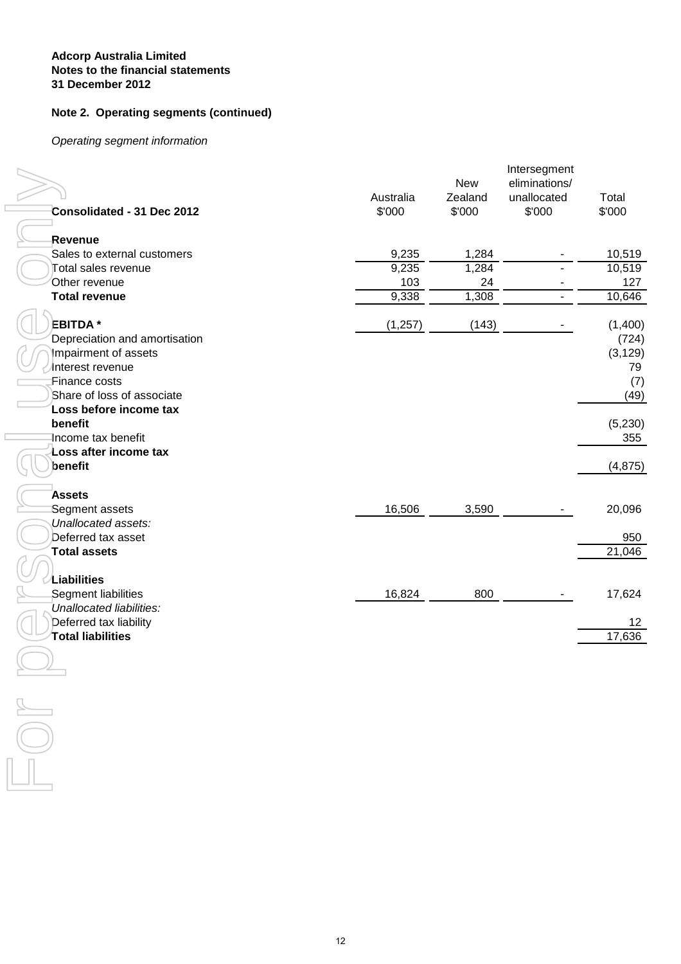#### **Note 2. Operating segments (continued)**

Operating segment information

| Consolidated - 31 Dec 2012                         |    | Australia<br>\$'000 | <b>New</b><br>Zealand<br>\$'000 | Intersegment<br>eliminations/<br>unallocated<br>\$'000 | Total<br>\$'000 |
|----------------------------------------------------|----|---------------------|---------------------------------|--------------------------------------------------------|-----------------|
|                                                    |    |                     |                                 |                                                        |                 |
| Revenue<br>Sales to external customers             |    | 9,235               | 1,284                           |                                                        | 10,519          |
| Total sales revenue                                |    | 9,235               | 1,284                           |                                                        | 10,519          |
| Other revenue                                      |    | 103                 | 24                              |                                                        | 127             |
| <b>Total revenue</b>                               |    | 9,338               | 1,308                           |                                                        | 10,646          |
|                                                    |    |                     |                                 |                                                        |                 |
| <b>EBITDA</b> *                                    |    | (1, 257)            | (143)                           |                                                        | (1,400)         |
| Depreciation and amortisation                      |    |                     |                                 |                                                        | (724)           |
| Impairment of assets                               |    |                     |                                 |                                                        | (3, 129)        |
| Interest revenue<br>Finance costs                  |    |                     |                                 |                                                        | 79<br>(7)       |
| Share of loss of associate                         |    |                     |                                 |                                                        | (49)            |
| Loss before income tax                             |    |                     |                                 |                                                        |                 |
| benefit                                            |    |                     |                                 |                                                        | (5, 230)        |
| Income tax benefit                                 |    |                     |                                 |                                                        | 355             |
| Loss after income tax                              |    |                     |                                 |                                                        |                 |
| benefit                                            |    |                     |                                 |                                                        | (4, 875)        |
|                                                    |    |                     |                                 |                                                        |                 |
| <b>Assets</b><br>Segment assets                    |    | 16,506              | 3,590                           |                                                        | 20,096          |
| Unallocated assets:                                |    |                     |                                 |                                                        |                 |
| Deferred tax asset                                 |    |                     |                                 |                                                        | 950             |
| <b>Total assets</b>                                |    |                     |                                 |                                                        | 21,046          |
|                                                    |    |                     |                                 |                                                        |                 |
| Liabilities                                        |    |                     |                                 |                                                        |                 |
| Segment liabilities                                |    | 16,824              | 800                             |                                                        | 17,624          |
| Unallocated liabilities:<br>Deferred tax liability |    |                     |                                 |                                                        | 12              |
| Total liabilities                                  |    |                     |                                 |                                                        | 17,636          |
|                                                    |    |                     |                                 |                                                        |                 |
|                                                    |    |                     |                                 |                                                        |                 |
|                                                    |    |                     |                                 |                                                        |                 |
|                                                    |    |                     |                                 |                                                        |                 |
|                                                    |    |                     |                                 |                                                        |                 |
|                                                    |    |                     |                                 |                                                        |                 |
|                                                    |    |                     |                                 |                                                        |                 |
|                                                    |    |                     |                                 |                                                        |                 |
|                                                    |    |                     |                                 |                                                        |                 |
|                                                    |    |                     |                                 |                                                        |                 |
|                                                    |    |                     |                                 |                                                        |                 |
|                                                    |    |                     |                                 |                                                        |                 |
|                                                    |    |                     |                                 |                                                        |                 |
|                                                    |    |                     |                                 |                                                        |                 |
|                                                    |    |                     |                                 |                                                        |                 |
|                                                    |    |                     |                                 |                                                        |                 |
|                                                    |    |                     |                                 |                                                        |                 |
|                                                    |    |                     |                                 |                                                        |                 |
|                                                    | 12 |                     |                                 |                                                        |                 |
|                                                    |    |                     |                                 |                                                        |                 |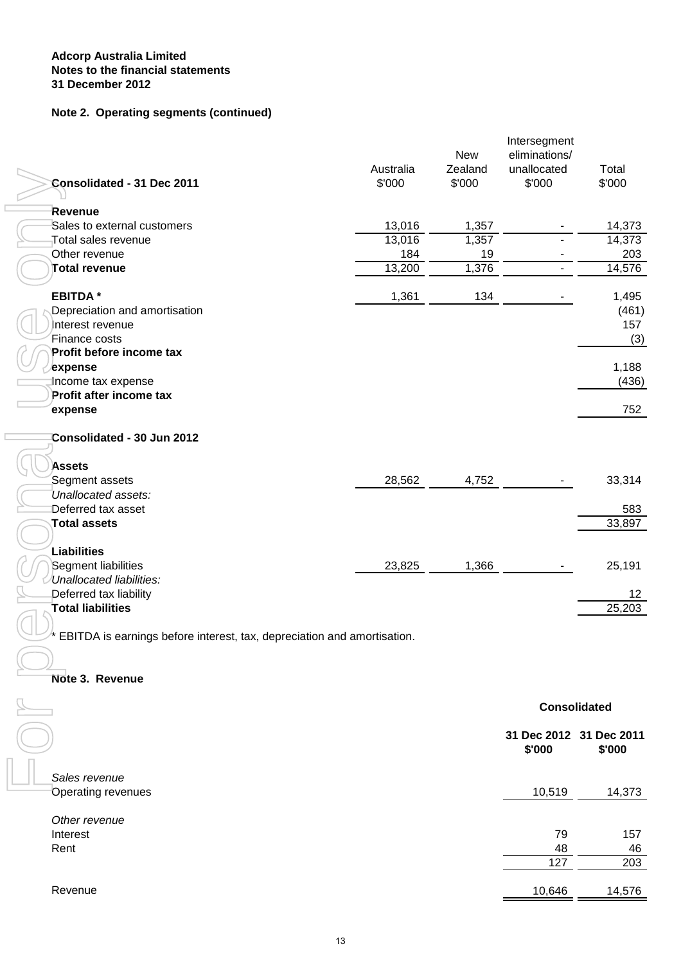#### **Note 2. Operating segments (continued)**

| Consolidated - 31 Dec 2011                                              | Australia<br>\$'000 | <b>New</b><br>Zealand<br>\$'000 | Intersegment<br>eliminations/<br>unallocated<br>\$'000 | Total<br>\$'000         |
|-------------------------------------------------------------------------|---------------------|---------------------------------|--------------------------------------------------------|-------------------------|
| Revenue                                                                 |                     |                                 |                                                        |                         |
| Sales to external customers                                             | 13,016              | 1,357                           |                                                        | 14,373                  |
| Total sales revenue                                                     | 13,016              | 1,357                           |                                                        | 14,373                  |
| Other revenue                                                           | 184                 | 19                              |                                                        | 203                     |
| <b>Total revenue</b>                                                    | 13,200              | 1,376                           | $\overline{\phantom{a}}$                               | 14,576                  |
| <b>EBITDA*</b>                                                          | 1,361               | 134                             |                                                        | 1,495                   |
| Depreciation and amortisation                                           |                     |                                 |                                                        | (461)                   |
| Interest revenue                                                        |                     |                                 |                                                        | 157                     |
| Finance costs                                                           |                     |                                 |                                                        | (3)                     |
| Profit before income tax                                                |                     |                                 |                                                        |                         |
| ∕expense                                                                |                     |                                 |                                                        | 1,188                   |
| Income tax expense                                                      |                     |                                 |                                                        | (436)                   |
| Profit after income tax<br>expense                                      |                     |                                 |                                                        | 752                     |
|                                                                         |                     |                                 |                                                        |                         |
| Consolidated - 30 Jun 2012                                              |                     |                                 |                                                        |                         |
| <b>Assets</b>                                                           |                     |                                 |                                                        |                         |
| Segment assets                                                          | 28,562              | 4,752                           |                                                        | 33,314                  |
| Unallocated assets:                                                     |                     |                                 |                                                        |                         |
| Deferred tax asset                                                      |                     |                                 |                                                        | 583                     |
| <b>Total assets</b>                                                     |                     |                                 |                                                        | 33,897                  |
|                                                                         |                     |                                 |                                                        |                         |
| Liabilities                                                             |                     |                                 |                                                        |                         |
| Segment liabilities                                                     | 23,825              | 1,366                           |                                                        | 25,191                  |
| Unallocated liabilities:                                                |                     |                                 |                                                        |                         |
| Deferred tax liability<br><b>Total liabilities</b>                      |                     |                                 |                                                        | 12<br>25,203            |
|                                                                         |                     |                                 |                                                        |                         |
| EBITDA is earnings before interest, tax, depreciation and amortisation. |                     |                                 |                                                        |                         |
|                                                                         |                     |                                 |                                                        |                         |
| Note 3. Revenue                                                         |                     |                                 |                                                        |                         |
|                                                                         |                     |                                 |                                                        | <b>Consolidated</b>     |
|                                                                         |                     |                                 |                                                        | 31 Dec 2012 31 Dec 2011 |
|                                                                         |                     |                                 | \$'000                                                 | \$'000                  |
|                                                                         |                     |                                 |                                                        |                         |
| Sales revenue                                                           |                     |                                 |                                                        |                         |
| <b>Operating revenues</b>                                               |                     |                                 | 10,519                                                 | 14,373                  |
| Other revenue                                                           |                     |                                 |                                                        |                         |
| Interest                                                                |                     |                                 | 79                                                     | 157                     |
| Rent                                                                    |                     |                                 | 48                                                     | 46                      |
|                                                                         |                     |                                 | 127                                                    | 203                     |
| Revenue                                                                 |                     |                                 | 10,646                                                 | 14,576                  |
|                                                                         |                     |                                 |                                                        |                         |
|                                                                         |                     |                                 |                                                        |                         |
|                                                                         | 13                  |                                 |                                                        |                         |

#### **Note 3. Revenue**

|                                            | <b>Consolidated</b> |                                   |  |
|--------------------------------------------|---------------------|-----------------------------------|--|
|                                            | \$'000              | 31 Dec 2012 31 Dec 2011<br>\$'000 |  |
| Sales revenue<br><b>Operating revenues</b> | 10,519              | 14,373                            |  |
| Other revenue<br>Interest                  | 79                  | 157                               |  |
| Rent                                       | 48                  | 46                                |  |
|                                            | 127                 | 203                               |  |
| Revenue                                    | 10,646              | 14,576                            |  |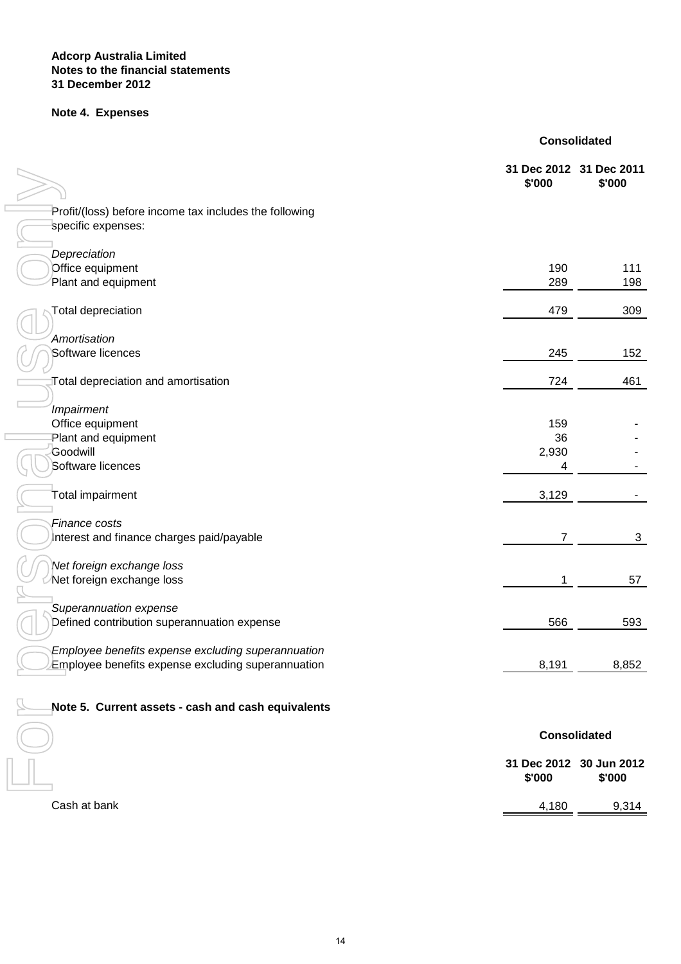#### **Notes to the financial statements Adcorp Australia Limited 31 December 2012**

## **Note 4. Expenses**

|  | <b>Consolidated</b> |
|--|---------------------|
|  |                     |

|                                                        | 31 Dec 2012 31 Dec 2011<br>\$'000 | \$'000                            |
|--------------------------------------------------------|-----------------------------------|-----------------------------------|
| Profit/(loss) before income tax includes the following |                                   |                                   |
| specific expenses:                                     |                                   |                                   |
| Depreciation                                           |                                   |                                   |
| Office equipment<br>Plant and equipment                | 190<br>289                        | 111<br>198                        |
| <b>Total depreciation</b>                              | 479                               | 309                               |
| Amortisation                                           |                                   |                                   |
| Software licences                                      | 245                               | 152                               |
| Total depreciation and amortisation                    | 724                               | 461                               |
| Impairment                                             |                                   |                                   |
| Office equipment                                       | 159                               |                                   |
| Plant and equipment<br>Goodwill                        | 36<br>2,930                       |                                   |
| Software licences                                      | 4                                 |                                   |
| Total impairment                                       | 3,129                             |                                   |
| Finance costs                                          |                                   |                                   |
| Interest and finance charges paid/payable              | $\overline{7}$                    | 3                                 |
| Net foreign exchange loss                              |                                   |                                   |
| Net foreign exchange loss                              | 1                                 | 57                                |
| Superannuation expense                                 |                                   |                                   |
| Defined contribution superannuation expense            | 566                               | 593                               |
| Employee benefits expense excluding superannuation     |                                   |                                   |
| Employee benefits expense excluding superannuation     | 8,191                             | 8,852                             |
| Note 5. Current assets - cash and cash equivalents     |                                   |                                   |
|                                                        | <b>Consolidated</b>               |                                   |
|                                                        | \$'000                            | 31 Dec 2012 30 Jun 2012<br>\$'000 |
| Cash at bank                                           | 4,180                             | 9,314                             |
|                                                        |                                   |                                   |
| 14                                                     |                                   |                                   |

| Cash at bank |  |
|--------------|--|
|              |  |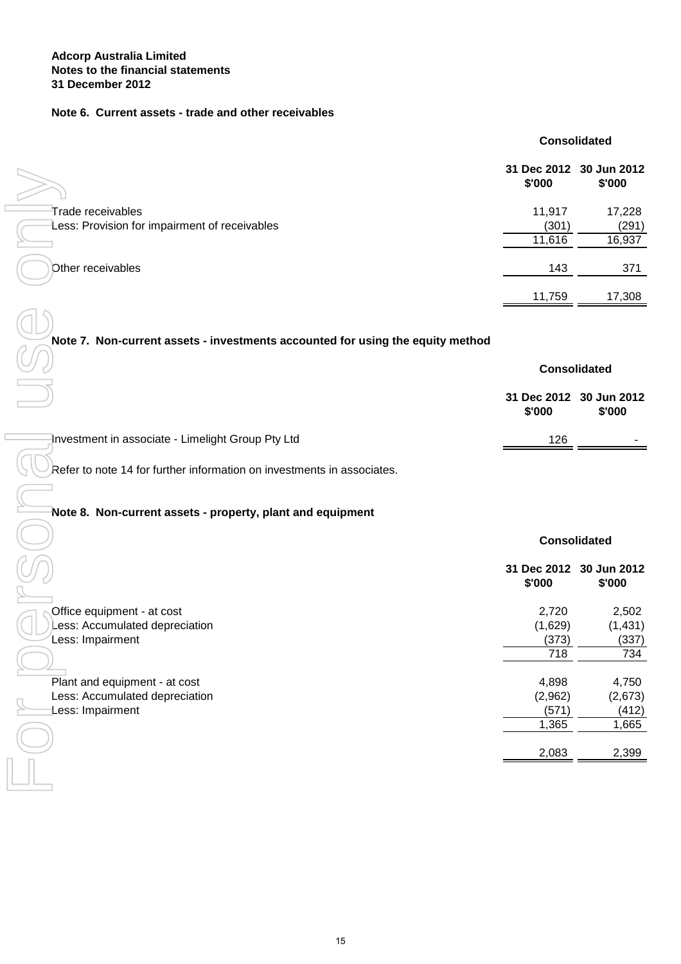#### **Note 6. Current assets - trade and other receivables**

|                                                                    |                 | <b>Consolidated</b>               |
|--------------------------------------------------------------------|-----------------|-----------------------------------|
|                                                                    | \$'000          | 31 Dec 2012 30 Jun 2012<br>\$'000 |
| Trade receivables<br>Less: Provision for impairment of receivables | 11,917<br>(301) | 17,228<br>(291)                   |
|                                                                    | 11,616          | 16,937                            |
| Other receivables                                                  | 143             | 371                               |
|                                                                    | 11,759          | 17,308                            |
|                                                                    |                 |                                   |

#### **Note 7. Non-current assets - investments accounted for using the equity method**

|                                                   | <b>Consolidated</b>               |        |
|---------------------------------------------------|-----------------------------------|--------|
|                                                   | 31 Dec 2012 30 Jun 2012<br>\$'000 | \$'000 |
| Investment in associate - Limelight Group Pty Ltd | 126                               |        |

#### **Note 8. Non-current assets - property, plant and equipment**

| 11,917<br>Trade receivables<br>Less: Provision for impairment of receivables<br>(301)<br>11,616<br>Other receivables<br>143<br>11,759<br>Note 7. Non-current assets - investments accounted for using the equity method<br><b>Consolidated</b><br>31 Dec 2012 30 Jun 2012<br>\$'000<br>Investment in associate - Limelight Group Pty Ltd<br>126<br>Refer to note 14 for further information on investments in associates.<br>Note 8. Non-current assets - property, plant and equipment<br><b>Consolidated</b><br>31 Dec 2012 30 Jun 2012<br>\$'000<br>Office equipment - at cost<br>2,720<br>(1,629)<br>Less: Accumulated depreciation<br>Less: Impairment<br>(373)<br>$\overline{718}$<br>4,898<br>Plant and equipment - at cost<br>(2,962)<br>Less: Accumulated depreciation<br>Less: Impairment<br>(571)<br>1,365 | \$'000 | 31 DEC ZUTZ 30 JUIL ZUTZ<br>\$'000 |
|-----------------------------------------------------------------------------------------------------------------------------------------------------------------------------------------------------------------------------------------------------------------------------------------------------------------------------------------------------------------------------------------------------------------------------------------------------------------------------------------------------------------------------------------------------------------------------------------------------------------------------------------------------------------------------------------------------------------------------------------------------------------------------------------------------------------------|--------|------------------------------------|
|                                                                                                                                                                                                                                                                                                                                                                                                                                                                                                                                                                                                                                                                                                                                                                                                                       |        | 17,228                             |
|                                                                                                                                                                                                                                                                                                                                                                                                                                                                                                                                                                                                                                                                                                                                                                                                                       |        | (291)                              |
|                                                                                                                                                                                                                                                                                                                                                                                                                                                                                                                                                                                                                                                                                                                                                                                                                       |        | 16,937                             |
|                                                                                                                                                                                                                                                                                                                                                                                                                                                                                                                                                                                                                                                                                                                                                                                                                       |        | 371                                |
|                                                                                                                                                                                                                                                                                                                                                                                                                                                                                                                                                                                                                                                                                                                                                                                                                       |        | 17,308                             |
|                                                                                                                                                                                                                                                                                                                                                                                                                                                                                                                                                                                                                                                                                                                                                                                                                       |        |                                    |
|                                                                                                                                                                                                                                                                                                                                                                                                                                                                                                                                                                                                                                                                                                                                                                                                                       |        |                                    |
|                                                                                                                                                                                                                                                                                                                                                                                                                                                                                                                                                                                                                                                                                                                                                                                                                       |        |                                    |
|                                                                                                                                                                                                                                                                                                                                                                                                                                                                                                                                                                                                                                                                                                                                                                                                                       |        | \$'000                             |
|                                                                                                                                                                                                                                                                                                                                                                                                                                                                                                                                                                                                                                                                                                                                                                                                                       |        |                                    |
|                                                                                                                                                                                                                                                                                                                                                                                                                                                                                                                                                                                                                                                                                                                                                                                                                       |        |                                    |
|                                                                                                                                                                                                                                                                                                                                                                                                                                                                                                                                                                                                                                                                                                                                                                                                                       |        |                                    |
|                                                                                                                                                                                                                                                                                                                                                                                                                                                                                                                                                                                                                                                                                                                                                                                                                       |        |                                    |
|                                                                                                                                                                                                                                                                                                                                                                                                                                                                                                                                                                                                                                                                                                                                                                                                                       |        | \$'000                             |
|                                                                                                                                                                                                                                                                                                                                                                                                                                                                                                                                                                                                                                                                                                                                                                                                                       |        | 2,502                              |
|                                                                                                                                                                                                                                                                                                                                                                                                                                                                                                                                                                                                                                                                                                                                                                                                                       |        |                                    |
|                                                                                                                                                                                                                                                                                                                                                                                                                                                                                                                                                                                                                                                                                                                                                                                                                       |        | (1, 431)                           |
|                                                                                                                                                                                                                                                                                                                                                                                                                                                                                                                                                                                                                                                                                                                                                                                                                       |        | (337)                              |
|                                                                                                                                                                                                                                                                                                                                                                                                                                                                                                                                                                                                                                                                                                                                                                                                                       |        | 734                                |
|                                                                                                                                                                                                                                                                                                                                                                                                                                                                                                                                                                                                                                                                                                                                                                                                                       |        | 4,750                              |
|                                                                                                                                                                                                                                                                                                                                                                                                                                                                                                                                                                                                                                                                                                                                                                                                                       |        | (2,673)<br>(412)                   |
|                                                                                                                                                                                                                                                                                                                                                                                                                                                                                                                                                                                                                                                                                                                                                                                                                       |        | 1,665                              |
|                                                                                                                                                                                                                                                                                                                                                                                                                                                                                                                                                                                                                                                                                                                                                                                                                       | 2,083  |                                    |
|                                                                                                                                                                                                                                                                                                                                                                                                                                                                                                                                                                                                                                                                                                                                                                                                                       |        |                                    |
|                                                                                                                                                                                                                                                                                                                                                                                                                                                                                                                                                                                                                                                                                                                                                                                                                       |        | 2,399                              |
|                                                                                                                                                                                                                                                                                                                                                                                                                                                                                                                                                                                                                                                                                                                                                                                                                       |        |                                    |
|                                                                                                                                                                                                                                                                                                                                                                                                                                                                                                                                                                                                                                                                                                                                                                                                                       |        |                                    |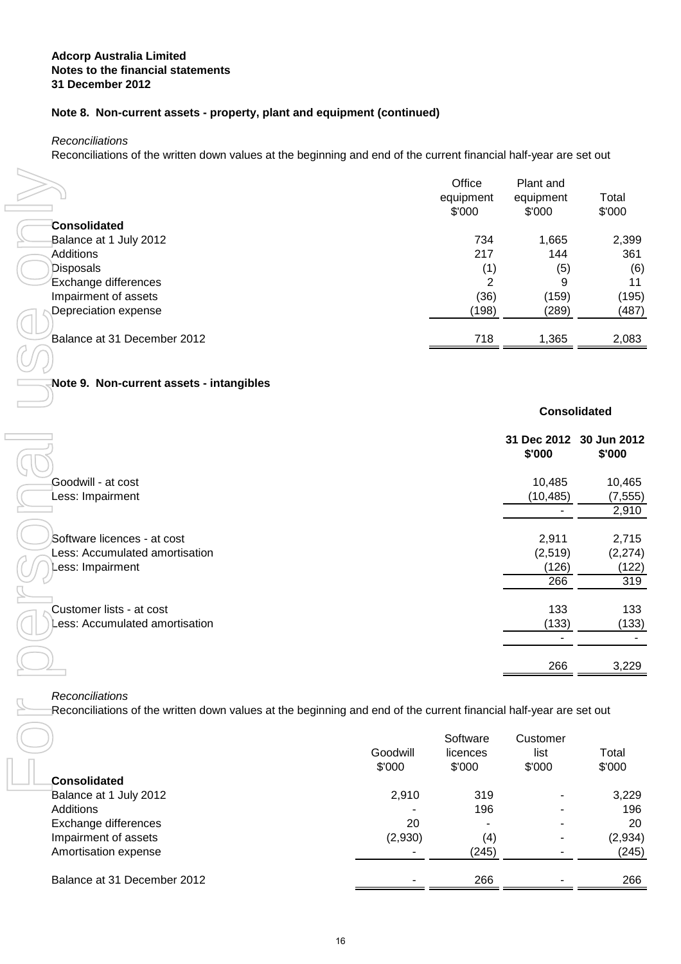#### **Note 8. Non-current assets - property, plant and equipment (continued)**

**Reconciliations** 

Reconciliations of the written down values at the beginning and end of the current financial half-year are set out

|                             | Office<br>equipment<br>\$'000 | Plant and<br>equipment<br>\$'000 | Total<br>\$'000 |
|-----------------------------|-------------------------------|----------------------------------|-----------------|
| Consolidated                |                               |                                  |                 |
| Balance at 1 July 2012      | 734                           | 1,665                            | 2,399           |
| <b>Additions</b>            | 217                           | 144                              | 361             |
| <b>Disposals</b>            | (1)                           | (5)                              | (6)             |
| Exchange differences        | 2                             | 9                                | 11              |
| Impairment of assets        | (36)                          | (159)                            | (195)           |
| Depreciation expense        | (198)                         | (289)                            | (487)           |
| Balance at 31 December 2012 | 718                           | 1,365                            | 2,083           |

# **Note 9. Non-current assets - intangibles**

|                                                                                                                                       |          | Office<br>equipment<br>\$'000 | Plant and<br>equipment<br>\$'000  | Total<br>\$'000    |
|---------------------------------------------------------------------------------------------------------------------------------------|----------|-------------------------------|-----------------------------------|--------------------|
| <b>Consolidated</b>                                                                                                                   |          |                               |                                   |                    |
| Balance at 1 July 2012                                                                                                                |          | 734                           | 1,665                             | 2,399              |
| <b>Additions</b>                                                                                                                      |          | 217                           | 144                               | 361                |
| Disposals                                                                                                                             |          | (1)                           | (5)                               | (6)                |
| Exchange differences                                                                                                                  |          | $\overline{2}$                | 9                                 | 11                 |
| Impairment of assets                                                                                                                  |          | (36)                          | (159)                             | (195)              |
| Depreciation expense                                                                                                                  |          | (198)                         | (289)                             | (487)              |
| Balance at 31 December 2012                                                                                                           |          | 718                           | 1,365                             | 2,083              |
|                                                                                                                                       |          |                               |                                   |                    |
| Note 9. Non-current assets - intangibles                                                                                              |          |                               |                                   |                    |
|                                                                                                                                       |          |                               | <b>Consolidated</b>               |                    |
|                                                                                                                                       |          |                               | 31 Dec 2012 30 Jun 2012<br>\$'000 | \$'000             |
| Goodwill - at cost                                                                                                                    |          |                               | 10,485                            |                    |
| Less: Impairment                                                                                                                      |          |                               | (10, 485)                         | 10,465<br>(7, 555) |
|                                                                                                                                       |          |                               |                                   | 2,910              |
|                                                                                                                                       |          |                               |                                   |                    |
| Software licences - at cost                                                                                                           |          |                               | 2,911                             | 2,715              |
| Less: Accumulated amortisation                                                                                                        |          |                               | (2,519)                           | (2, 274)           |
| Less: Impairment                                                                                                                      |          |                               | (126)                             | (122)              |
|                                                                                                                                       |          |                               | 266                               | 319                |
|                                                                                                                                       |          |                               |                                   |                    |
| Customer lists - at cost<br>Less: Accumulated amortisation                                                                            |          |                               | 133<br>(133)                      | 133<br>(133)       |
|                                                                                                                                       |          |                               |                                   |                    |
|                                                                                                                                       |          |                               | 266                               | 3,229              |
| Reconciliations<br>Reconciliations of the written down values at the beginning and end of the current financial half-year are set out |          |                               |                                   |                    |
|                                                                                                                                       |          |                               |                                   |                    |
|                                                                                                                                       |          | Software                      | Customer                          |                    |
|                                                                                                                                       | Goodwill | licences                      | list                              | Total              |
|                                                                                                                                       | \$'000   | \$'000                        | \$'000                            | \$'000             |
| <b>Consolidated</b>                                                                                                                   |          |                               |                                   |                    |
| Balance at 1 July 2012<br>Additions                                                                                                   | 2,910    | 319<br>196                    |                                   | 3,229<br>196       |
| Exchange differences                                                                                                                  | 20       |                               |                                   | 20                 |
| Impairment of assets                                                                                                                  | (2,930)  | (4)                           |                                   | (2,934)            |
| Amortisation expense                                                                                                                  | ۰        | (245)                         |                                   | (245)              |
| Balance at 31 December 2012                                                                                                           |          | 266                           |                                   | 266                |
|                                                                                                                                       |          |                               |                                   |                    |
| 16                                                                                                                                    |          |                               |                                   |                    |

|                             | Goodwill<br>\$'000 | Software<br>licences<br>\$'000 | Customer<br>list<br>\$'000 | Total<br>\$'000 |
|-----------------------------|--------------------|--------------------------------|----------------------------|-----------------|
| <b>Consolidated</b>         |                    |                                |                            |                 |
| Balance at 1 July 2012      | 2,910              | 319                            |                            | 3,229           |
| Additions                   |                    | 196                            |                            | 196             |
| Exchange differences        | 20                 |                                |                            | 20              |
| Impairment of assets        | (2,930)            | (4)                            |                            | (2,934)         |
| Amortisation expense        |                    | (245)                          |                            | (245)           |
| Balance at 31 December 2012 |                    | 266                            |                            | 266             |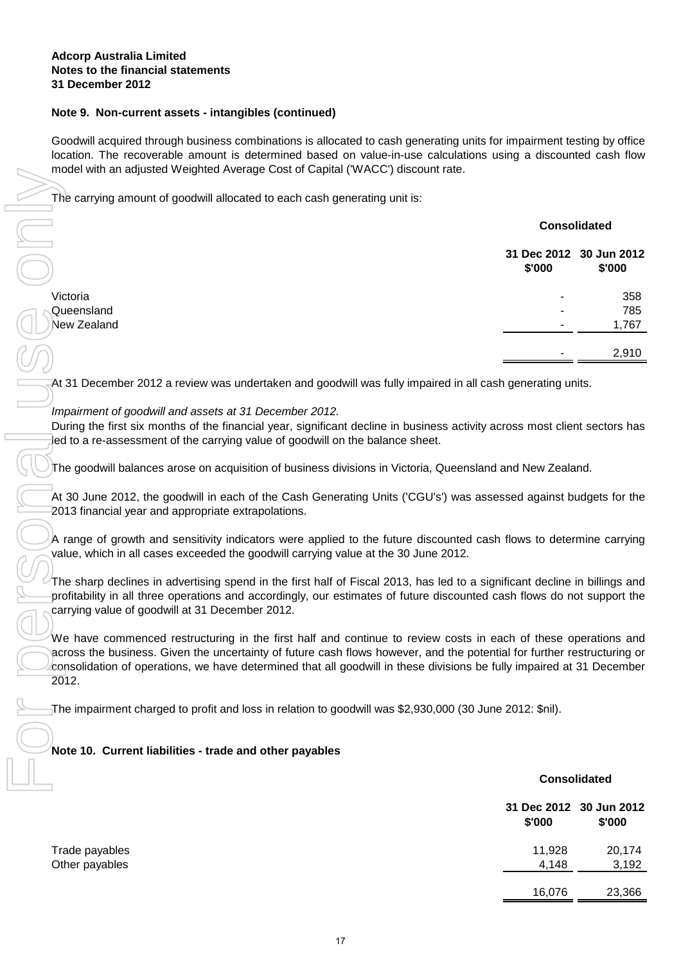#### **Note 9. Non-current assets - intangibles (continued)**

Goodwill acquired through business combinations is allocated to cash generating units for impairment testing by office location. The recoverable amount is determined based on value-in-use calculations using a discounted cash flow model with an adjusted Weighted Average Cost of Capital ('WACC') discount rate.

| model with an adjusted vvelgnied Average Cost of Capital (VVACC) discount rate.                                                                                                                                                                                                                                                                                                     |                                   |                       |
|-------------------------------------------------------------------------------------------------------------------------------------------------------------------------------------------------------------------------------------------------------------------------------------------------------------------------------------------------------------------------------------|-----------------------------------|-----------------------|
| The carrying amount of goodwill allocated to each cash generating unit is:                                                                                                                                                                                                                                                                                                          |                                   |                       |
|                                                                                                                                                                                                                                                                                                                                                                                     |                                   | <b>Consolidated</b>   |
|                                                                                                                                                                                                                                                                                                                                                                                     | 31 Dec 2012 30 Jun 2012<br>\$'000 | \$'000                |
| Victoria                                                                                                                                                                                                                                                                                                                                                                            |                                   | 358                   |
| Queensland                                                                                                                                                                                                                                                                                                                                                                          |                                   | 785                   |
| <b>New Zealand</b>                                                                                                                                                                                                                                                                                                                                                                  |                                   | 1,767                 |
|                                                                                                                                                                                                                                                                                                                                                                                     |                                   | 2,910                 |
| At 31 December 2012 a review was undertaken and goodwill was fully impaired in all cash generating units.                                                                                                                                                                                                                                                                           |                                   |                       |
| Impairment of goodwill and assets at 31 December 2012.<br>During the first six months of the financial year, significant decline in business activity across most client sectors has<br>led to a re-assessment of the carrying value of goodwill on the balance sheet.<br>The goodwill balances arose on acquisition of business divisions in Victoria, Queensland and New Zealand. |                                   |                       |
| At 30 June 2012, the goodwill in each of the Cash Generating Units ('CGU's') was assessed against budgets for the<br>2013 financial year and appropriate extrapolations.                                                                                                                                                                                                            |                                   |                       |
| A range of growth and sensitivity indicators were applied to the future discounted cash flows to determine carrying<br>value, which in all cases exceeded the goodwill carrying value at the 30 June 2012.                                                                                                                                                                          |                                   |                       |
| The sharp declines in advertising spend in the first half of Fiscal 2013, has led to a significant decline in billings and<br>profitability in all three operations and accordingly, our estimates of future discounted cash flows do not support the<br>carrying value of goodwill at 31 December 2012.                                                                            |                                   |                       |
| We have commenced restructuring in the first half and continue to review costs in each of these operations and<br>across the business. Given the uncertainty of future cash flows however, and the potential for further restructuring or<br>consolidation of operations, we have determined that all goodwill in these divisions be fully impaired at 31 December<br>2012.         |                                   |                       |
| The impairment charged to profit and loss in relation to goodwill was \$2,930,000 (30 June 2012: \$nil).                                                                                                                                                                                                                                                                            |                                   |                       |
|                                                                                                                                                                                                                                                                                                                                                                                     |                                   |                       |
| Note 10. Current liabilities - trade and other payables                                                                                                                                                                                                                                                                                                                             |                                   |                       |
|                                                                                                                                                                                                                                                                                                                                                                                     |                                   | <b>Consolidated</b>   |
|                                                                                                                                                                                                                                                                                                                                                                                     | 31 Dec 2012<br>\$'000             | 30 Jun 2012<br>\$'000 |
| Trade payables                                                                                                                                                                                                                                                                                                                                                                      | 11,928                            | 20,174                |
| Other payables                                                                                                                                                                                                                                                                                                                                                                      | 4,148                             | 3,192                 |
|                                                                                                                                                                                                                                                                                                                                                                                     | 16,076                            | 23,366                |
|                                                                                                                                                                                                                                                                                                                                                                                     |                                   |                       |
| 17                                                                                                                                                                                                                                                                                                                                                                                  |                                   |                       |

#### Impairment of goodwill and assets at 31 December 2012.

#### **Note 10. Current liabilities - trade and other payables**

### **31 Dec 2012 30 Jun 2012 \$'000 \$'000** 11,928 20,174 4,148 3,192 16,076 23,366 Trade payables Other payables **Consolidated**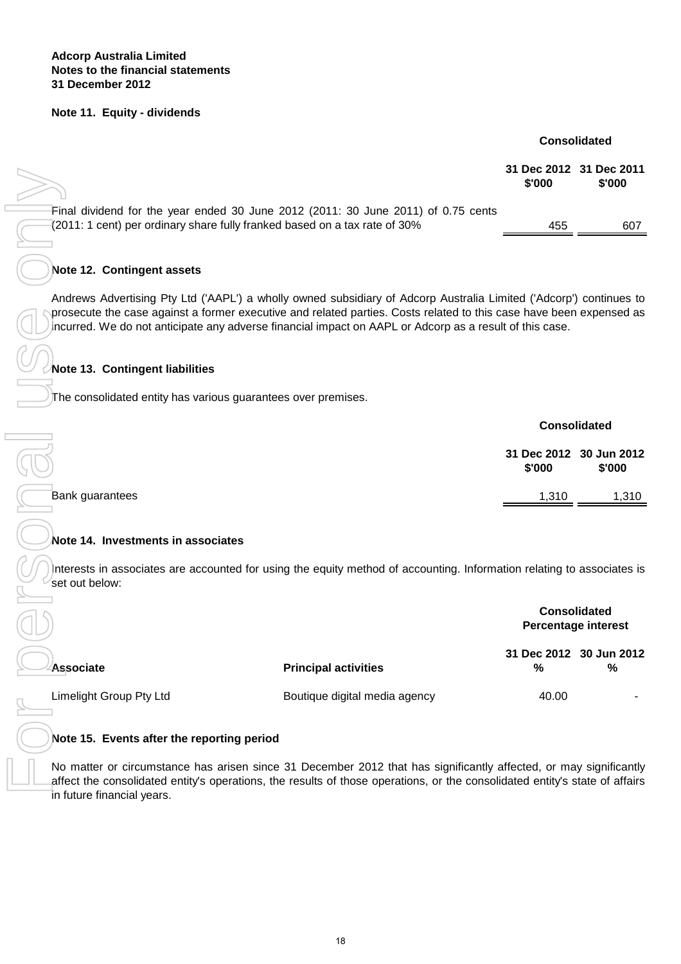#### **Note 11. Equity - dividends**

**Consolidated**

| $>\gtrsim$                                                                                                                                                       | \$'000 | 31 Dec 2012 31 Dec 2011<br>\$'000 |
|------------------------------------------------------------------------------------------------------------------------------------------------------------------|--------|-----------------------------------|
| Final dividend for the year ended 30 June 2012 (2011: 30 June 2011) of 0.75 cents<br>$(2011:1$ cent) per ordinary share fully franked based on a tax rate of 30% | 455    | 607                               |

#### **Note 12. Contingent assets**

#### **Note 13. Contingent liabilities**

|                 |        | <b>Consolidated</b>               |
|-----------------|--------|-----------------------------------|
|                 | \$'000 | 31 Dec 2012 30 Jun 2012<br>\$'000 |
| Bank guarantees | 1,310  | 1,310                             |

#### **Note 14. Investments in associates**

|                                                                                                                                                                                                                                                                                                                                                      |                               | <b>JI DEC ZUIZ JI DEC ZUII</b><br>\$'000 | \$'000                                            |
|------------------------------------------------------------------------------------------------------------------------------------------------------------------------------------------------------------------------------------------------------------------------------------------------------------------------------------------------------|-------------------------------|------------------------------------------|---------------------------------------------------|
| Final dividend for the year ended 30 June 2012 (2011: 30 June 2011) of 0.75 cents<br>(2011: 1 cent) per ordinary share fully franked based on a tax rate of 30%                                                                                                                                                                                      |                               | 455                                      | 607                                               |
| Note 12. Contingent assets                                                                                                                                                                                                                                                                                                                           |                               |                                          |                                                   |
| Andrews Advertising Pty Ltd ('AAPL') a wholly owned subsidiary of Adcorp Australia Limited ('Adcorp') continues to<br>prosecute the case against a former executive and related parties. Costs related to this case have been expensed as<br>incurred. We do not anticipate any adverse financial impact on AAPL or Adcorp as a result of this case. |                               |                                          |                                                   |
| Note 13. Contingent liabilities                                                                                                                                                                                                                                                                                                                      |                               |                                          |                                                   |
| The consolidated entity has various guarantees over premises.                                                                                                                                                                                                                                                                                        |                               |                                          |                                                   |
|                                                                                                                                                                                                                                                                                                                                                      |                               | <b>Consolidated</b>                      |                                                   |
|                                                                                                                                                                                                                                                                                                                                                      |                               | 31 Dec 2012 30 Jun 2012<br>\$'000        | \$'000                                            |
| Bank guarantees                                                                                                                                                                                                                                                                                                                                      |                               | 1,310                                    | 1,310                                             |
| Note 14. Investments in associates                                                                                                                                                                                                                                                                                                                   |                               |                                          |                                                   |
| Interests in associates are accounted for using the equity method of accounting. Information relating to associates is<br>set out below:                                                                                                                                                                                                             |                               |                                          |                                                   |
|                                                                                                                                                                                                                                                                                                                                                      |                               |                                          | <b>Consolidated</b><br><b>Percentage interest</b> |
| <b>Associate</b>                                                                                                                                                                                                                                                                                                                                     | <b>Principal activities</b>   | 31 Dec 2012 30 Jun 2012<br>%             | %                                                 |
| Limelight Group Pty Ltd                                                                                                                                                                                                                                                                                                                              | Boutique digital media agency | 40.00                                    |                                                   |
| Note 15. Events after the reporting period                                                                                                                                                                                                                                                                                                           |                               |                                          |                                                   |
| No matter or circumstance has arisen since 31 December 2012 that has significantly affected, or may significantly<br>affect the consolidated entity's operations, the results of those operations, or the consolidated entity's state of affairs<br>in future financial years.                                                                       |                               |                                          |                                                   |
|                                                                                                                                                                                                                                                                                                                                                      |                               |                                          |                                                   |
|                                                                                                                                                                                                                                                                                                                                                      |                               |                                          |                                                   |
|                                                                                                                                                                                                                                                                                                                                                      |                               |                                          |                                                   |
|                                                                                                                                                                                                                                                                                                                                                      |                               |                                          |                                                   |
|                                                                                                                                                                                                                                                                                                                                                      | 18                            |                                          |                                                   |

#### **Note 15. Events after the reporting period**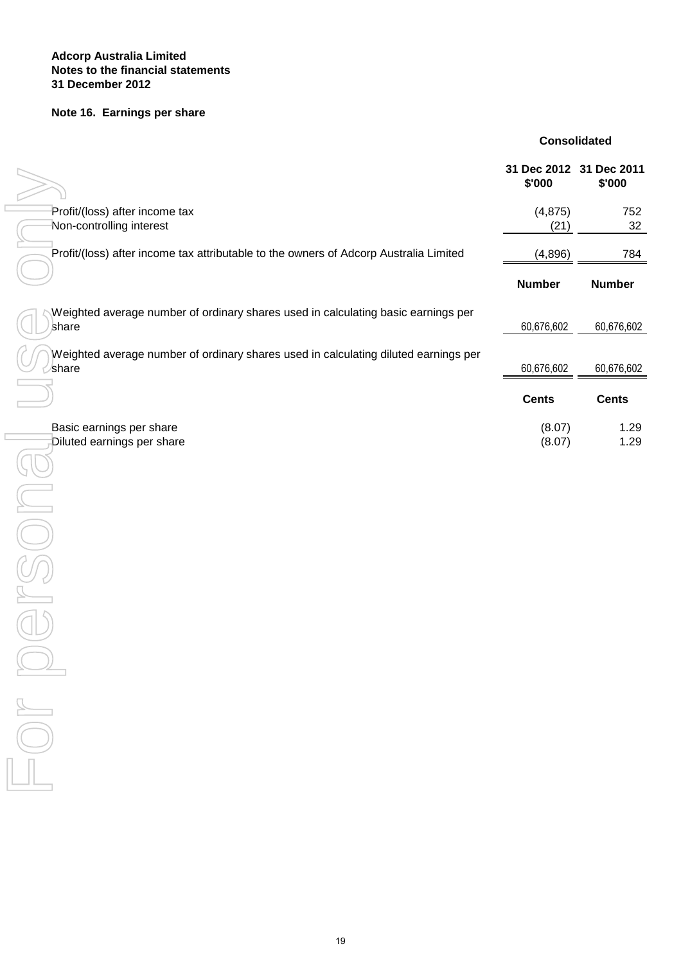#### **Notes to the financial statements Adcorp Australia Limited 31 December 2012**

#### **Note 16. Earnings per share**

#### **Consolidated**

|                                                                                              | 31 Dec 2012 31 Dec 2011<br>\$'000 | \$'000        |
|----------------------------------------------------------------------------------------------|-----------------------------------|---------------|
| Profit/(loss) after income tax<br>Non-controlling interest                                   | (4, 875)<br>(21)                  | 752<br>32     |
| Profit/(loss) after income tax attributable to the owners of Adcorp Australia Limited        | (4,896)                           | 784           |
|                                                                                              | <b>Number</b>                     | <b>Number</b> |
| Weighted average number of ordinary shares used in calculating basic earnings per<br>share   | 60,676,602                        | 60,676,602    |
| Weighted average number of ordinary shares used in calculating diluted earnings per<br>share | 60,676,602                        | 60,676,602    |
|                                                                                              | <b>Cents</b>                      | <b>Cents</b>  |
| Basic earnings per share<br>Diluted earnings per share                                       | (8.07)<br>(8.07)                  | 1.29<br>1.29  |
|                                                                                              |                                   |               |
|                                                                                              |                                   |               |
|                                                                                              |                                   |               |
|                                                                                              |                                   |               |
|                                                                                              |                                   |               |
| $\frac{1}{\sqrt{2\pi}}$<br>$\sqrt{}$                                                         |                                   |               |
|                                                                                              |                                   |               |
|                                                                                              |                                   |               |
|                                                                                              |                                   |               |
|                                                                                              |                                   |               |
|                                                                                              |                                   |               |
| 19                                                                                           |                                   |               |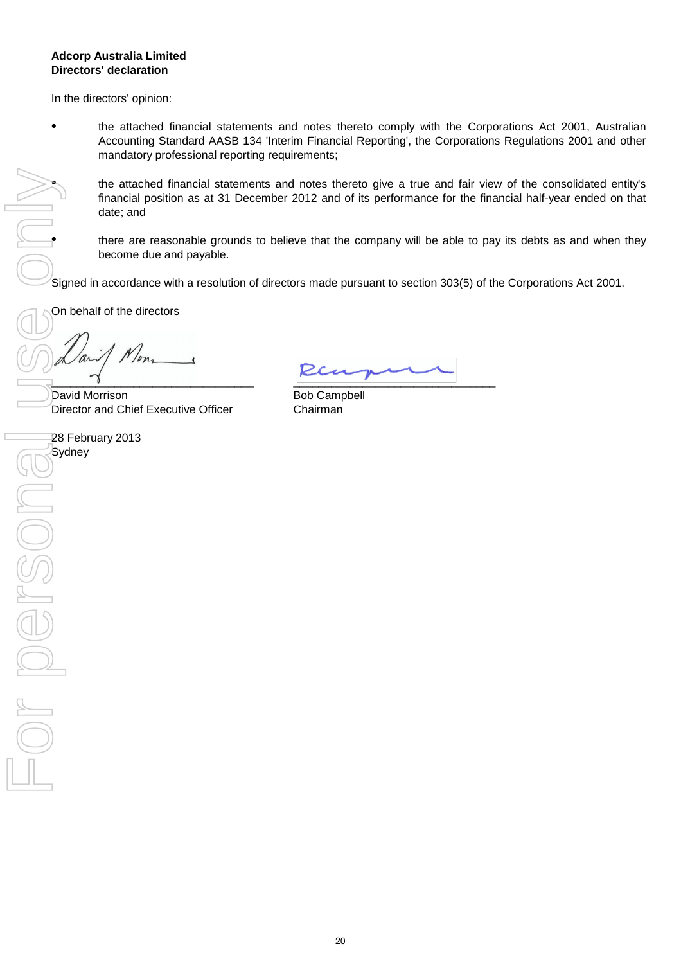#### **Directors' declaration Adcorp Australia Limited**

In the directors' opinion:

●

●

the attached financial statements and notes thereto comply with the Corporations Act 2001, Australian Accounting Standard AASB 134 'Interim Financial Reporting', the Corporations Regulations 2001 and other mandatory professional reporting requirements;

the attached financial statements and notes thereto give a true and fair view of the consolidated entity's financial position as at 31 December 2012 and of its performance for the financial half-year ended on that date; and

there are reasonable grounds to believe that the company will be able to pay its debts as and when they become due and payable.

Signed in accordance with a resolution of directors made pursuant to section 303(5) of the Corporations Act 2001.

On behalf of the directors

\_\_\_\_\_\_\_\_\_\_\_\_\_\_\_\_\_\_\_\_\_\_\_\_\_\_\_\_\_\_\_\_

David Morrison Director and Chief Executive Officer

28 February 2013

 $\frac{1}{2}$  , we consider the contract of  $\frac{1}{2}$ 

Bob Campbell Chairman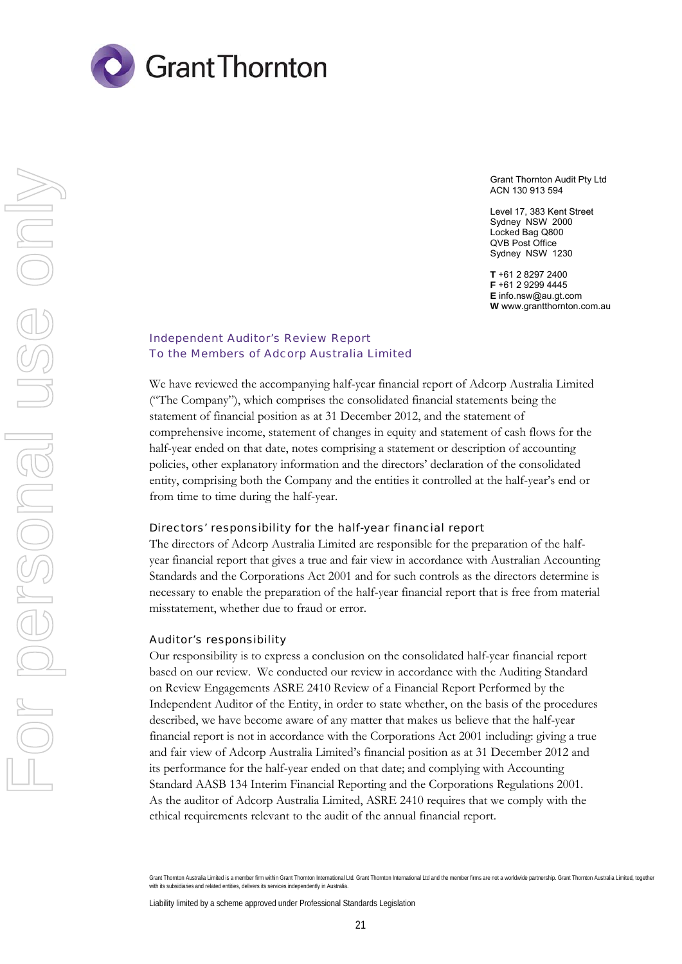

Grant Thornton Audit Pty Ltd ACN 130 913 594

Level 17, 383 Kent Street Sydney NSW 2000 Locked Bag Q800 QVB Post Office Sydney NSW 1230

**T** +61 2 8297 2400 **F** +61 2 9299 4445 **E** info.nsw@au.gt.com **W** www.grantthornton.com.au

#### Independent Auditor's Review Report To the Members of Adcorp Australia Limited

We have reviewed the accompanying half-year financial report of Adcorp Australia Limited ("The Company"), which comprises the consolidated financial statements being the statement of financial position as at 31 December 2012, and the statement of comprehensive income, statement of changes in equity and statement of cash flows for the half-year ended on that date, notes comprising a statement or description of accounting policies, other explanatory information and the directors' declaration of the consolidated entity, comprising both the Company and the entities it controlled at the half-year's end or from time to time during the half-year.

#### Directors' responsibility for the half-year financial report

The directors of Adcorp Australia Limited are responsible for the preparation of the halfyear financial report that gives a true and fair view in accordance with Australian Accounting Standards and the Corporations Act 2001 and for such controls as the directors determine is necessary to enable the preparation of the half-year financial report that is free from material misstatement, whether due to fraud or error.

#### Auditor's responsibility

Our responsibility is to express a conclusion on the consolidated half-year financial report based on our review. We conducted our review in accordance with the Auditing Standard on Review Engagements ASRE 2410 Review of a Financial Report Performed by the Independent Auditor of the Entity, in order to state whether, on the basis of the procedures described, we have become aware of any matter that makes us believe that the half-year financial report is not in accordance with the Corporations Act 2001 including: giving a true and fair view of Adcorp Australia Limited's financial position as at 31 December 2012 and its performance for the half-year ended on that date; and complying with Accounting Standard AASB 134 Interim Financial Reporting and the Corporations Regulations 2001. As the auditor of Adcorp Australia Limited, ASRE 2410 requires that we comply with the ethical requirements relevant to the audit of the annual financial report.

Liability limited by a scheme approved under Professional Standards Legislation

Grant Thornton Australia Limited is a member firm within Grant Thornton International Ltd. Grant Thornton International Ltd and the member firms are not a worldwide partnership. Grant Thornton Australia Limited, together with its subsidiaries and related entities, delivers its services independently in Australia.